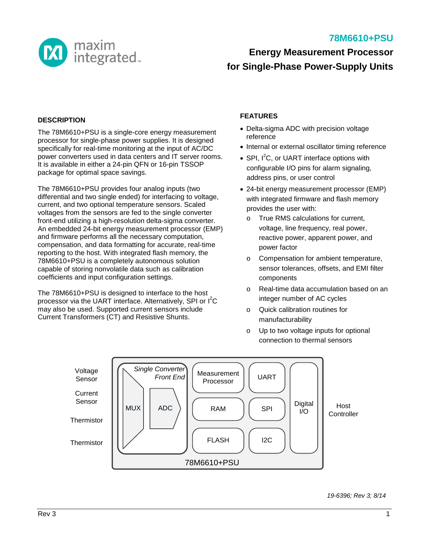

# **78M6610+PSU**

# **Energy Measurement Processor for Single-Phase Power-Supply Units**

#### **DESCRIPTION**

The 78M6610+PSU is a single-core energy measurement processor for single-phase power supplies. It is designed specifically for real-time monitoring at the input of AC/DC power converters used in data centers and IT server rooms. It is available in either a 24-pin QFN or 16-pin TSSOP package for optimal space savings.

The 78M6610+PSU provides four analog inputs (two differential and two single ended) for interfacing to voltage, current, and two optional temperature sensors. Scaled voltages from the sensors are fed to the single converter front-end utilizing a high-resolution delta-sigma converter. An embedded 24-bit energy measurement processor (EMP) and firmware performs all the necessary computation, compensation, and data formatting for accurate, real-time reporting to the host. With integrated flash memory, the 78M6610+PSU is a completely autonomous solution capable of storing nonvolatile data such as calibration coefficients and input configuration settings.

The 78M6610+PSU is designed to interface to the host processor via the UART interface. Alternatively, SPI or l<sup>2</sup>C may also be used. Supported current sensors include Current Transformers (CT) and Resistive Shunts.

### **FEATURES**

- Delta-sigma ADC with precision voltage reference
- Internal or external oscillator timing reference
- SPI,  $I^2C$ , or UART interface options with configurable I/O pins for alarm signaling, address pins, or user control
- 24-bit energy measurement processor (EMP) with integrated firmware and flash memory provides the user with:
	- o True RMS calculations for current, voltage, line frequency, real power, reactive power, apparent power, and power factor
	- o Compensation for ambient temperature, sensor tolerances, offsets, and EMI filter components
	- o Real-time data accumulation based on an integer number of AC cycles
	- o Quick calibration routines for manufacturability
	- o Up to two voltage inputs for optional connection to thermal sensors



*19-6396; Rev 3; 8/14*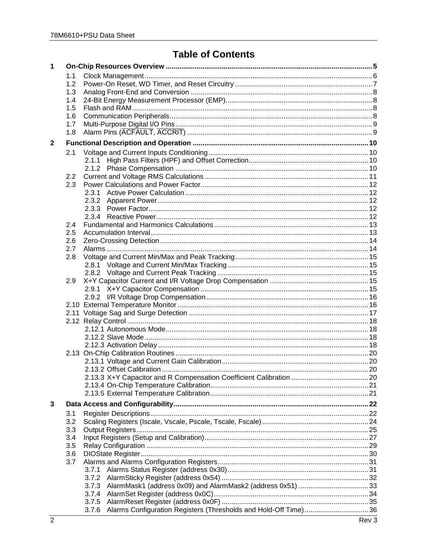# **Table of Contents**

| 1           |               |                                                                          |  |
|-------------|---------------|--------------------------------------------------------------------------|--|
|             | 1.1           |                                                                          |  |
|             | 1.2           |                                                                          |  |
|             | 1.3           |                                                                          |  |
|             | 1.4           |                                                                          |  |
|             | 1.5           |                                                                          |  |
|             | 1.6           |                                                                          |  |
|             | 1.7           |                                                                          |  |
|             | 1.8           |                                                                          |  |
| $\mathbf 2$ |               |                                                                          |  |
|             | 2.1           |                                                                          |  |
|             |               |                                                                          |  |
|             |               |                                                                          |  |
|             | $2.2^{\circ}$ |                                                                          |  |
|             | 2.3           |                                                                          |  |
|             |               |                                                                          |  |
|             |               |                                                                          |  |
|             |               |                                                                          |  |
|             |               |                                                                          |  |
|             | 2.4           |                                                                          |  |
|             | 2.5           |                                                                          |  |
|             | 2.6           |                                                                          |  |
|             | 2.7           |                                                                          |  |
|             | 2.8           |                                                                          |  |
|             |               |                                                                          |  |
|             |               |                                                                          |  |
|             | 2.9           |                                                                          |  |
|             |               |                                                                          |  |
|             |               |                                                                          |  |
|             |               |                                                                          |  |
|             |               |                                                                          |  |
|             |               |                                                                          |  |
|             |               |                                                                          |  |
|             |               |                                                                          |  |
|             |               |                                                                          |  |
|             |               |                                                                          |  |
|             |               |                                                                          |  |
|             |               |                                                                          |  |
|             |               |                                                                          |  |
|             |               |                                                                          |  |
|             |               |                                                                          |  |
| 3           |               |                                                                          |  |
|             |               |                                                                          |  |
|             | 3.1<br>3.2    |                                                                          |  |
|             | 3.3           |                                                                          |  |
|             |               |                                                                          |  |
|             | 3.4           |                                                                          |  |
|             | 3.5           |                                                                          |  |
|             | 3.6           |                                                                          |  |
|             | 3.7           |                                                                          |  |
|             |               | 3.7.1                                                                    |  |
|             |               | 3.7.2                                                                    |  |
|             |               | 3.7.3                                                                    |  |
|             |               | 3.7.4                                                                    |  |
|             |               | 3.7.5                                                                    |  |
|             |               | Alarms Configuration Registers (Thresholds and Hold-Off Time)36<br>3.7.6 |  |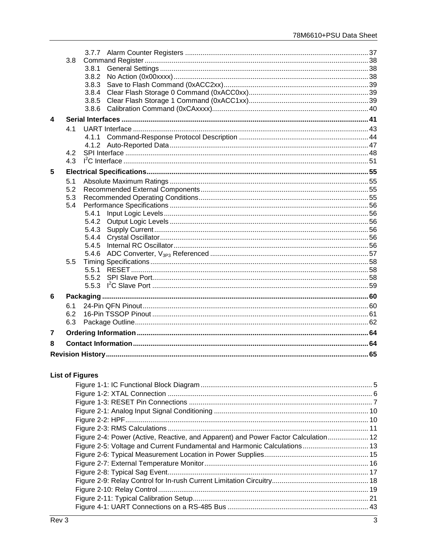|   | 3.8 | 3.8.1          |  |
|---|-----|----------------|--|
|   |     | 3.8.2          |  |
|   |     | 3.8.3          |  |
|   |     | 3.8.4          |  |
|   |     | 3.8.5          |  |
|   |     | 3.8.6          |  |
| 4 |     |                |  |
|   | 41  |                |  |
|   |     | 4.1.1          |  |
|   |     |                |  |
|   | 4.2 |                |  |
|   | 4.3 |                |  |
| 5 |     |                |  |
|   | 5.1 |                |  |
|   | 5.2 |                |  |
|   | 5.3 |                |  |
|   | 5.4 |                |  |
|   |     | 5.4.1          |  |
|   |     | 5.4.2          |  |
|   |     | 5.4.3          |  |
|   |     | 5.4.4<br>5.4.5 |  |
|   |     | 5.4.6          |  |
|   | 5.5 |                |  |
|   |     |                |  |
|   |     |                |  |
|   |     |                |  |
| 6 |     |                |  |
|   | 6.1 |                |  |
|   | 6.2 |                |  |
|   | 6.3 |                |  |
| 7 |     |                |  |
| 8 |     |                |  |
|   |     |                |  |

# **List of Figures**

| Figure 2-4: Power (Active, Reactive, and Apparent) and Power Factor Calculation 12 |  |
|------------------------------------------------------------------------------------|--|
| Figure 2-5: Voltage and Current Fundamental and Harmonic Calculations 13           |  |
|                                                                                    |  |
|                                                                                    |  |
|                                                                                    |  |
|                                                                                    |  |
|                                                                                    |  |
|                                                                                    |  |
|                                                                                    |  |
|                                                                                    |  |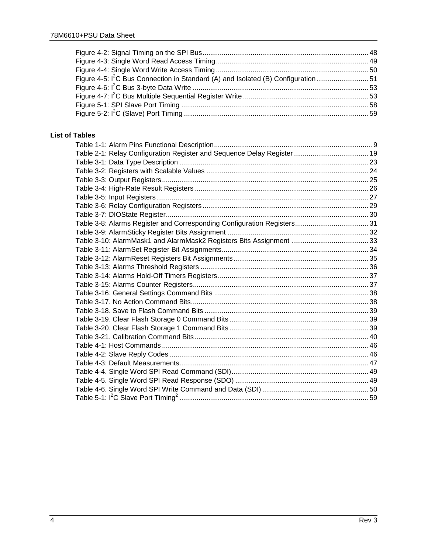| Figure 4-5: I <sup>2</sup> C Bus Connection in Standard (A) and Isolated (B) Configuration51 |  |
|----------------------------------------------------------------------------------------------|--|
|                                                                                              |  |
|                                                                                              |  |
|                                                                                              |  |
|                                                                                              |  |

### **List of Tables**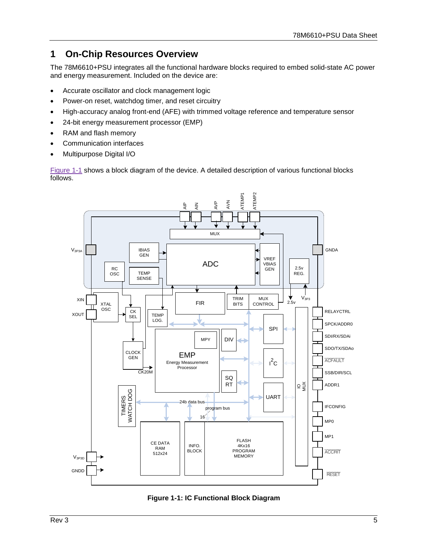# <span id="page-4-0"></span>**1 On-Chip Resources Overview**

The 78M6610+PSU integrates all the functional hardware blocks required to embed solid-state AC power and energy measurement. Included on the device are:

- Accurate oscillator and clock management logic
- Power-on reset, watchdog timer, and reset circuitry
- High-accuracy analog front-end (AFE) with trimmed voltage reference and temperature sensor
- 24-bit energy measurement processor (EMP)
- RAM and flash memory
- Communication interfaces
- Multipurpose Digital I/O

[Figure 1-1](#page-4-1) shows a block diagram of the device. A detailed description of various functional blocks follows.



<span id="page-4-1"></span>**Figure 1-1: IC Functional Block Diagram**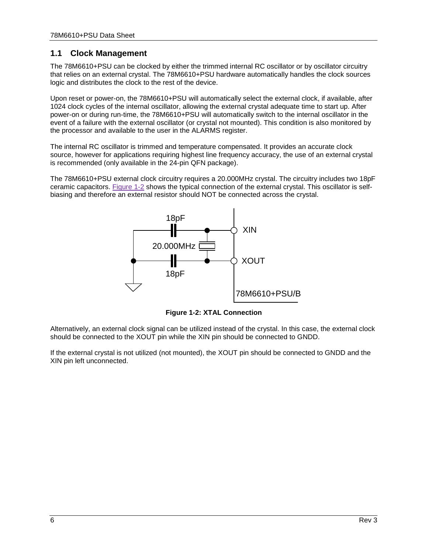# <span id="page-5-0"></span>**1.1 Clock Management**

The 78M6610+PSU can be clocked by either the trimmed internal RC oscillator or by oscillator circuitry that relies on an external crystal. The 78M6610+PSU hardware automatically handles the clock sources logic and distributes the clock to the rest of the device.

Upon reset or power-on, the 78M6610+PSU will automatically select the external clock, if available, after 1024 clock cycles of the internal oscillator, allowing the external crystal adequate time to start up. After power-on or during run-time, the 78M6610+PSU will automatically switch to the internal oscillator in the event of a failure with the external oscillator (or crystal not mounted). This condition is also monitored by the processor and available to the user in the ALARMS register.

The internal RC oscillator is trimmed and temperature compensated. It provides an accurate clock source, however for applications requiring highest line frequency accuracy, the use of an external crystal is recommended (only available in the 24-pin QFN package).

The 78M6610+PSU external clock circuitry requires a 20.000MHz crystal. The circuitry includes two 18pF ceramic capacitors. [Figure 1-2](#page-5-1) shows the typical connection of the external crystal. This oscillator is selfbiasing and therefore an external resistor should NOT be connected across the crystal.



**Figure 1-2: XTAL Connection**

<span id="page-5-1"></span>Alternatively, an external clock signal can be utilized instead of the crystal. In this case, the external clock should be connected to the XOUT pin while the XIN pin should be connected to GNDD.

If the external crystal is not utilized (not mounted), the XOUT pin should be connected to GNDD and the XIN pin left unconnected.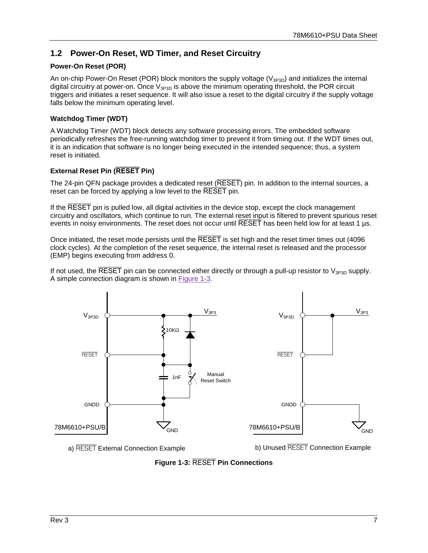# <span id="page-6-0"></span>**1.2 Power-On Reset, WD Timer, and Reset Circuitry**

#### **Power-On Reset (POR)**

An on-chip Power-On Reset (POR) block monitors the supply voltage ( $V_{3P3D}$ ) and initializes the internal digital circuitry at power-on. Once  $V_{3P3D}$  is above the minimum operating threshold, the POR circuit triggers and initiates a reset sequence. It will also issue a reset to the digital circuitry if the supply voltage falls below the minimum operating level.

#### **Watchdog Timer (WDT)**

A Watchdog Timer (WDT) block detects any software processing errors. The embedded software periodically refreshes the free-running watchdog timer to prevent it from timing out. If the WDT times out, it is an indication that software is no longer being executed in the intended sequence; thus, a system reset is initiated.

#### **External Reset Pin (RESET Pin)**

The 24-pin QFN package provides a dedicated reset (RESET) pin. In addition to the internal sources, a reset can be forced by applying a low level to the RESET pin.

If the RESET pin is pulled low, all digital activities in the device stop, except the clock management circuitry and oscillators, which continue to run. The external reset input is filtered to prevent spurious reset events in noisy environments. The reset does not occur until RESET has been held low for at least 1 µs.

Once initiated, the reset mode persists until the RESET is set high and the reset timer times out (4096 clock cycles). At the completion of the reset sequence, the internal reset is released and the processor (EMP) begins executing from address 0.

If not used, the RESET pin can be connected either directly or through a pull-up resistor to  $V_{3P3D}$  supply. A simple connection diagram is shown in [Figure 1-3.](#page-6-1)



<span id="page-6-1"></span>**Figure 1-3:** RESET **Pin Connections**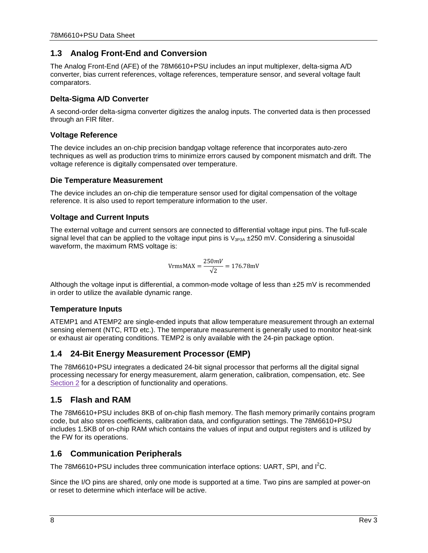# <span id="page-7-0"></span>**1.3 Analog Front-End and Conversion**

The Analog Front-End (AFE) of the 78M6610+PSU includes an input multiplexer, delta-sigma A/D converter, bias current references, voltage references, temperature sensor, and several voltage fault comparators.

#### **Delta-Sigma A/D Converter**

A second-order delta-sigma converter digitizes the analog inputs. The converted data is then processed through an FIR filter.

#### **Voltage Reference**

The device includes an on-chip precision bandgap voltage reference that incorporates auto-zero techniques as well as production trims to minimize errors caused by component mismatch and drift. The voltage reference is digitally compensated over temperature.

#### **Die Temperature Measurement**

The device includes an on-chip die temperature sensor used for digital compensation of the voltage reference. It is also used to report temperature information to the user.

#### **Voltage and Current Inputs**

The external voltage and current sensors are connected to differential voltage input pins. The full-scale signal level that can be applied to the voltage input pins is  $V_{3P3A}$   $\pm$ 250 mV. Considering a sinusoidal waveform, the maximum RMS voltage is:

$$
\text{VrmsMAX} = \frac{250mV}{\sqrt{2}} = 176.78 \text{mV}
$$

Although the voltage input is differential, a common-mode voltage of less than  $\pm 25$  mV is recommended in order to utilize the available dynamic range.

### **Temperature Inputs**

ATEMP1 and ATEMP2 are single-ended inputs that allow temperature measurement through an external sensing element (NTC, RTD etc.). The temperature measurement is generally used to monitor heat-sink or exhaust air operating conditions. TEMP2 is only available with the 24-pin package option.

## <span id="page-7-1"></span>**1.4 24-Bit Energy Measurement Processor (EMP)**

The 78M6610+PSU integrates a dedicated 24-bit signal processor that performs all the digital signal processing necessary for energy measurement, alarm generation, calibration, compensation, etc. See [Section 2](#page-9-0) for a description of functionality and operations.

### <span id="page-7-2"></span>**1.5 Flash and RAM**

The 78M6610+PSU includes 8KB of on-chip flash memory. The flash memory primarily contains program code, but also stores coefficients, calibration data, and configuration settings. The 78M6610+PSU includes 1.5KB of on-chip RAM which contains the values of input and output registers and is utilized by the FW for its operations.

## <span id="page-7-3"></span>**1.6 Communication Peripherals**

The 78M6610+PSU includes three communication interface options: UART, SPI, and  $I^2C$ .

Since the I/O pins are shared, only one mode is supported at a time. Two pins are sampled at power-on or reset to determine which interface will be active.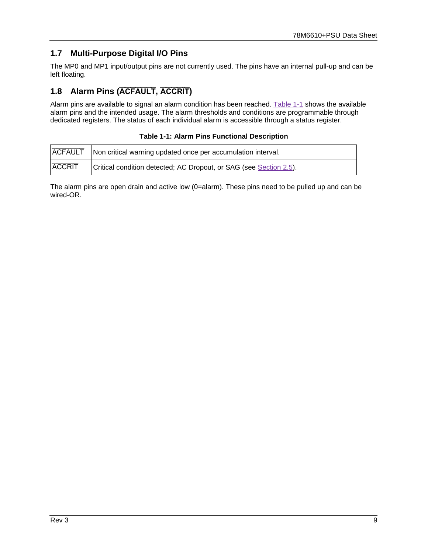# <span id="page-8-0"></span>**1.7 Multi-Purpose Digital I/O Pins**

The MP0 and MP1 input/output pins are not currently used. The pins have an internal pull-up and can be left floating.

# <span id="page-8-1"></span>**1.8 Alarm Pins (ACFAULT, ACCRIT)**

Alarm pins are available to signal an alarm condition has been reached. [Table 1-1](#page-8-2) shows the available alarm pins and the intended usage. The alarm thresholds and conditions are programmable through dedicated registers. The status of each individual alarm is accessible through a status register.

|  |  |  |  | <b>Table 1-1: Alarm Pins Functional Description</b> |
|--|--|--|--|-----------------------------------------------------|
|--|--|--|--|-----------------------------------------------------|

<span id="page-8-2"></span>

|               | <b>ACFAULT</b>   Non critical warning updated once per accumulation interval. |
|---------------|-------------------------------------------------------------------------------|
| <b>ACCRIT</b> | Critical condition detected; AC Dropout, or SAG (see Section 2.5).            |

The alarm pins are open drain and active low (0=alarm). These pins need to be pulled up and can be wired-OR.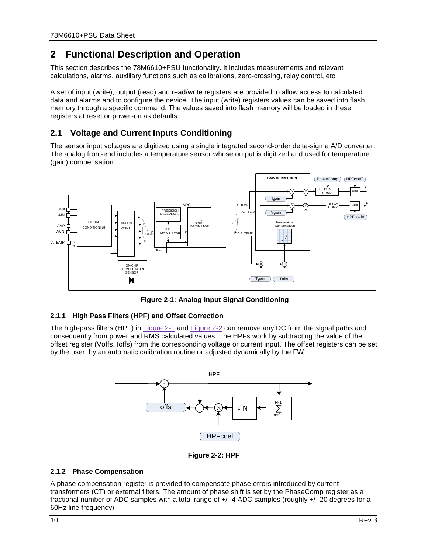# <span id="page-9-0"></span>**2 Functional Description and Operation**

This section describes the 78M6610+PSU functionality. It includes measurements and relevant calculations, alarms, auxiliary functions such as calibrations, zero-crossing, relay control, etc.

A set of input (write), output (read) and read/write registers are provided to allow access to calculated data and alarms and to configure the device. The input (write) registers values can be saved into flash memory through a specific command. The values saved into flash memory will be loaded in these registers at reset or power-on as defaults.

# <span id="page-9-1"></span>**2.1 Voltage and Current Inputs Conditioning**

The sensor input voltages are digitized using a single integrated second-order delta-sigma A/D converter. The analog front-end includes a temperature sensor whose output is digitized and used for temperature (gain) compensation.



<span id="page-9-4"></span>**Figure 2-1: Analog Input Signal Conditioning**

### <span id="page-9-2"></span>**2.1.1 High Pass Filters (HPF) and Offset Correction**

The high-pass filters (HPF) in [Figure 2-1](#page-9-4) and [Figure 2-2](#page-9-5) can remove any DC from the signal paths and consequently from power and RMS calculated values. The HPFs work by subtracting the value of the offset register (Voffs, Ioffs) from the corresponding voltage or current input. The offset registers can be set by the user, by an automatic calibration routine or adjusted dynamically by the FW.



**Figure 2-2: HPF**

### <span id="page-9-5"></span><span id="page-9-3"></span>**2.1.2 Phase Compensation**

A phase compensation register is provided to compensate phase errors introduced by current transformers (CT) or external filters. The amount of phase shift is set by the PhaseComp register as a fractional number of ADC samples with a total range of +/- 4 ADC samples (roughly +/- 20 degrees for a 60Hz line frequency).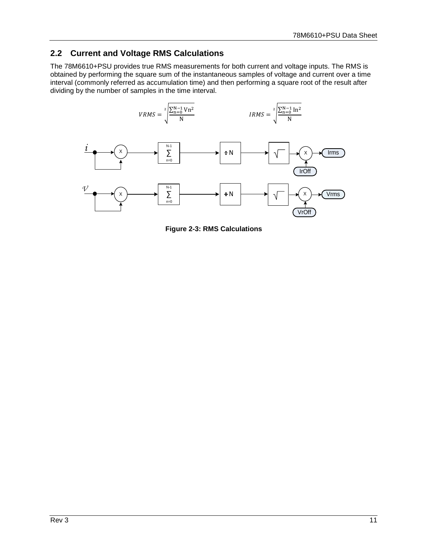# <span id="page-10-0"></span>**2.2 Current and Voltage RMS Calculations**

The 78M6610+PSU provides true RMS measurements for both current and voltage inputs. The RMS is obtained by performing the square sum of the instantaneous samples of voltage and current over a time interval (commonly referred as accumulation time) and then performing a square root of the result after dividing by the number of samples in the time interval.



<span id="page-10-1"></span>**Figure 2-3: RMS Calculations**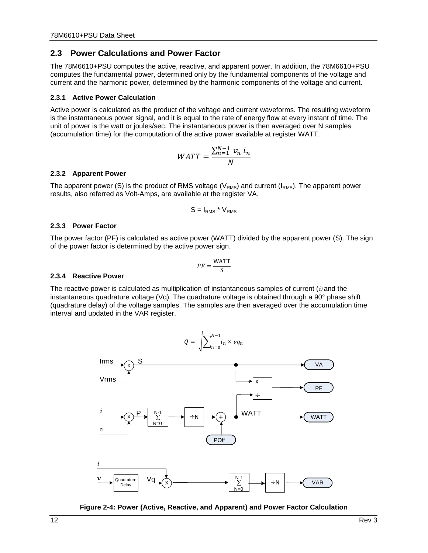### <span id="page-11-0"></span>**2.3 Power Calculations and Power Factor**

The 78M6610+PSU computes the active, reactive, and apparent power. In addition, the 78M6610+PSU computes the fundamental power, determined only by the fundamental components of the voltage and current and the harmonic power, determined by the harmonic components of the voltage and current.

#### <span id="page-11-1"></span>**2.3.1 Active Power Calculation**

Active power is calculated as the product of the voltage and current waveforms. The resulting waveform is the instantaneous power signal, and it is equal to the rate of energy flow at every instant of time. The unit of power is the watt or joules/sec. The instantaneous power is then averaged over N samples (accumulation time) for the computation of the active power available at register WATT.

$$
WATT = \frac{\sum_{n=1}^{N-1} v_n i_n}{N}
$$

#### <span id="page-11-2"></span>**2.3.2 Apparent Power**

The apparent power (S) is the product of RMS voltage ( $V_{RMS}$ ) and current ( $I_{RMS}$ ). The apparent power results, also referred as Volt-Amps, are available at the register VA.

$$
S = I_{RMS} * V_{RMS}
$$

#### <span id="page-11-3"></span>**2.3.3 Power Factor**

The power factor (PF) is calculated as active power (WATT) divided by the apparent power (S). The sign of the power factor is determined by the active power sign.

$$
PF = \frac{\text{WATT}}{\text{S}}
$$

#### <span id="page-11-4"></span>**2.3.4 Reactive Power**

The reactive power is calculated as multiplication of instantaneous samples of current (*i)* and the instantaneous quadrature voltage (Vq). The quadrature voltage is obtained through a  $90^\circ$  phase shift (quadrature delay) of the voltage samples. The samples are then averaged over the accumulation time interval and updated in the VAR register.



<span id="page-11-5"></span>**Figure 2-4: Power (Active, Reactive, and Apparent) and Power Factor Calculation**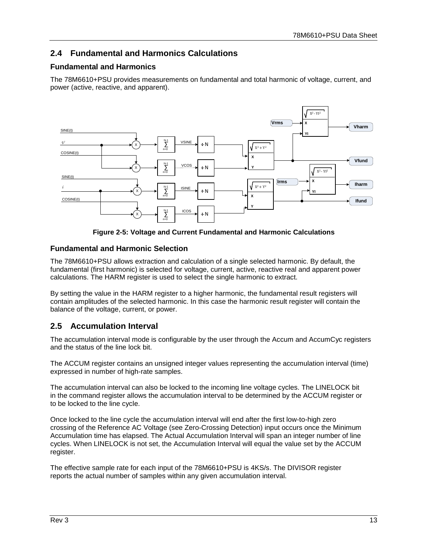# <span id="page-12-0"></span>**2.4 Fundamental and Harmonics Calculations**

#### **Fundamental and Harmonics**

The 78M6610+PSU provides measurements on fundamental and total harmonic of voltage, current, and power (active, reactive, and apparent).



**Figure 2-5: Voltage and Current Fundamental and Harmonic Calculations**

#### <span id="page-12-2"></span>**Fundamental and Harmonic Selection**

The 78M6610+PSU allows extraction and calculation of a single selected harmonic. By default, the fundamental (first harmonic) is selected for voltage, current, active, reactive real and apparent power calculations. The HARM register is used to select the single harmonic to extract.

By setting the value in the HARM register to a higher harmonic, the fundamental result registers will contain amplitudes of the selected harmonic. In this case the harmonic result register will contain the balance of the voltage, current, or power.

### <span id="page-12-1"></span>**2.5 Accumulation Interval**

The accumulation interval mode is configurable by the user through the Accum and AccumCyc registers and the status of the line lock bit.

The ACCUM register contains an unsigned integer values representing the accumulation interval (time) expressed in number of high-rate samples.

The accumulation interval can also be locked to the incoming line voltage cycles. The LINELOCK bit in the command register allows the accumulation interval to be determined by the ACCUM register or to be locked to the line cycle.

Once locked to the line cycle the accumulation interval will end after the first low-to-high zero crossing of the Reference AC Voltage (see [Zero-Crossing Detection\)](#page-13-0) input occurs once the Minimum Accumulation time has elapsed. The Actual Accumulation Interval will span an integer number of line cycles. When LINELOCK is not set, the Accumulation Interval will equal the value set by the ACCUM register.

The effective sample rate for each input of the 78M6610+PSU is 4KS/s. The DIVISOR register reports the actual number of samples within any given accumulation interval.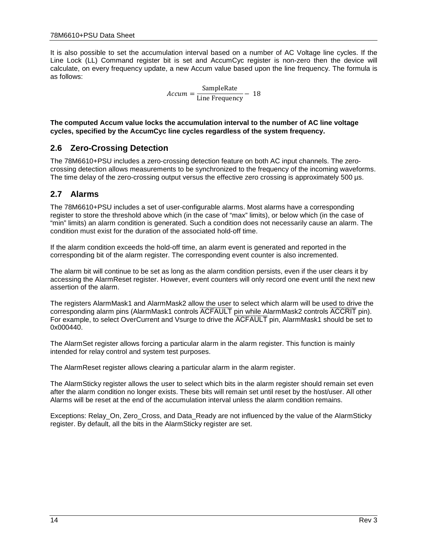It is also possible to set the accumulation interval based on a number of AC Voltage line cycles. If the Line Lock (LL) Command register bit is set and AccumCyc register is non-zero then the device will calculate, on every frequency update, a new Accum value based upon the line frequency. The formula is as follows:

 $Accuracy = \frac{\text{SampleRate}}{\text{Line Frequency}} - 18$ 

**The computed Accum value locks the accumulation interval to the number of AC line voltage cycles, specified by the AccumCyc line cycles regardless of the system frequency.**

### <span id="page-13-0"></span>**2.6 Zero-Crossing Detection**

The 78M6610+PSU includes a zero-crossing detection feature on both AC input channels. The zerocrossing detection allows measurements to be synchronized to the frequency of the incoming waveforms. The time delay of the zero-crossing output versus the effective zero crossing is approximately 500 µs.

### <span id="page-13-1"></span>**2.7 Alarms**

The 78M6610+PSU includes a set of user-configurable alarms. Most alarms have a corresponding register to store the threshold above which (in the case of "max" limits), or below which (in the case of "min" limits) an alarm condition is generated. Such a condition does not necessarily cause an alarm. The condition must exist for the duration of the associated hold-off time.

If the alarm condition exceeds the hold-off time, an alarm event is generated and reported in the corresponding bit of the alarm register. The corresponding event counter is also incremented.

The alarm bit will continue to be set as long as the alarm condition persists, even if the user clears it by accessing the AlarmReset register. However, event counters will only record one event until the next new assertion of the alarm.

The registers AlarmMask1 and AlarmMask2 allow the user to select which alarm will be used to drive the corresponding alarm pins (AlarmMask1 controls ACFAULT pin while AlarmMask2 controls ACCRIT pin). For example, to select OverCurrent and Vsurge to drive the ACFAULT pin, AlarmMask1 should be set to 0x000440.

The AlarmSet register allows forcing a particular alarm in the alarm register. This function is mainly intended for relay control and system test purposes.

The AlarmReset register allows clearing a particular alarm in the alarm register.

The AlarmSticky register allows the user to select which bits in the alarm register should remain set even after the alarm condition no longer exists. These bits will remain set until reset by the host/user. All other Alarms will be reset at the end of the accumulation interval unless the alarm condition remains.

Exceptions: Relay\_On, Zero\_Cross, and Data\_Ready are not influenced by the value of the AlarmSticky register. By default, all the bits in the AlarmSticky register are set.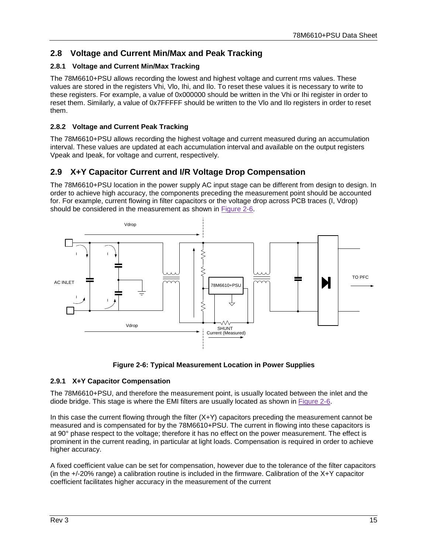# <span id="page-14-0"></span>**2.8 Voltage and Current Min/Max and Peak Tracking**

### <span id="page-14-1"></span>**2.8.1 Voltage and Current Min/Max Tracking**

The 78M6610+PSU allows recording the lowest and highest voltage and current rms values. These values are stored in the registers Vhi, Vlo, Ihi, and Ilo. To reset these values it is necessary to write to these registers. For example, a value of 0x000000 should be written in the Vhi or Ihi register in order to reset them. Similarly, a value of 0x7FFFFF should be written to the Vlo and Ilo registers in order to reset them.

### <span id="page-14-2"></span>**2.8.2 Voltage and Current Peak Tracking**

The 78M6610+PSU allows recording the highest voltage and current measured during an accumulation interval. These values are updated at each accumulation interval and available on the output registers Vpeak and Ipeak, for voltage and current, respectively.

## <span id="page-14-3"></span>**2.9 X+Y Capacitor Current and I/R Voltage Drop Compensation**

The 78M6610+PSU location in the power supply AC input stage can be different from design to design. In order to achieve high accuracy, the components preceding the measurement point should be accounted for. For example, current flowing in filter capacitors or the voltage drop across PCB traces (I, Vdrop) should be considered in the measurement as shown in [Figure 2-6.](#page-14-5)





### <span id="page-14-5"></span><span id="page-14-4"></span>**2.9.1 X+Y Capacitor Compensation**

The 78M6610+PSU, and therefore the measurement point, is usually located between the inlet and the diode bridge. This stage is where the EMI filters are usually located as shown in [Figure 2-6.](#page-14-5)

In this case the current flowing through the filter  $(X+Y)$  capacitors preceding the measurement cannot be measured and is compensated for by the 78M6610+PSU. The current in flowing into these capacitors is at 90° phase respect to the voltage; therefore it has no effect on the power measurement. The effect is prominent in the current reading, in particular at light loads. Compensation is required in order to achieve higher accuracy.

A fixed coefficient value can be set for compensation, however due to the tolerance of the filter capacitors (in the +/-20% range) a calibration routine is included in the firmware. Calibration of the X+Y capacitor coefficient facilitates higher accuracy in the measurement of the current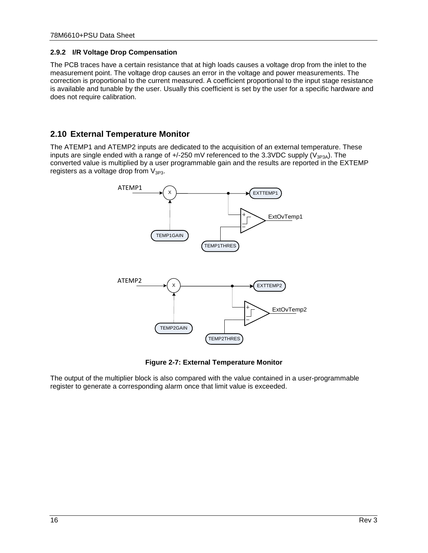#### <span id="page-15-0"></span>**2.9.2 I/R Voltage Drop Compensation**

The PCB traces have a certain resistance that at high loads causes a voltage drop from the inlet to the measurement point. The voltage drop causes an error in the voltage and power measurements. The correction is proportional to the current measured. A coefficient proportional to the input stage resistance is available and tunable by the user. Usually this coefficient is set by the user for a specific hardware and does not require calibration.

# <span id="page-15-1"></span>**2.10 External Temperature Monitor**

The ATEMP1 and ATEMP2 inputs are dedicated to the acquisition of an external temperature. These inputs are single ended with a range of  $+/-250$  mV referenced to the 3.3VDC supply ( $V_{3P3A}$ ). The converted value is multiplied by a user programmable gain and the results are reported in the EXTEMP registers as a voltage drop from  $V_{3P3}$ .



**Figure 2-7: External Temperature Monitor**

<span id="page-15-2"></span>The output of the multiplier block is also compared with the value contained in a user-programmable register to generate a corresponding alarm once that limit value is exceeded.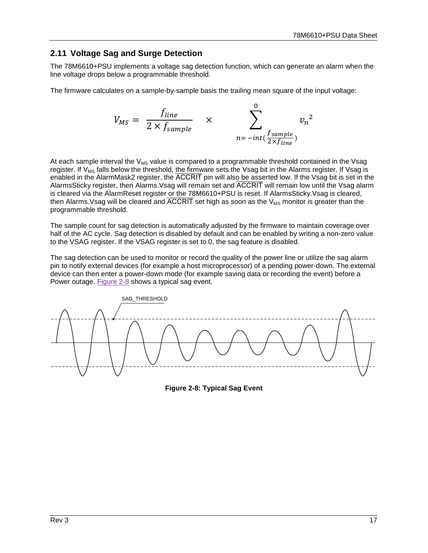# <span id="page-16-0"></span>**2.11 Voltage Sag and Surge Detection**

The 78M6610+PSU implements a voltage sag detection function, which can generate an alarm when the line voltage drops below a programmable threshold.

The firmware calculates on a sample-by-sample basis the trailing mean square of the input voltage:

$$
V_{MS} = \frac{f_{line}}{2 \times f_{sample}} \times \sum_{n = -int(\frac{f_{sample}}{2 \times f_{line}})}^{0} v_n^2
$$

At each sample interval the  $V_{MS}$  value is compared to a programmable threshold contained in the Vsag register. If V<sub>MS</sub> falls below the threshold, the firmware sets the Vsag bit in the Alarms register. If Vsag is enabled in the AlarmMask2 register, the ACCRIT pin will also be asserted low. If the Vsag bit is set in the AlarmsSticky register, then Alarms.Vsag will remain set and ACCRIT will remain low until the Vsag alarm is cleared via the AlarmReset register or the 78M6610+PSU is reset. If AlarmsSticky. Vsag is cleared, then Alarms. Vsag will be cleared and  $\overline{ACCRIT}$  set high as soon as the  $V_{MS}$  monitor is greater than the programmable threshold.

The sample count for sag detection is automatically adjusted by the firmware to maintain coverage over half of the AC cycle. Sag detection is disabled by default and can be enabled by writing a non-zero value to the VSAG register. If the VSAG register is set to 0, the sag feature is disabled.

The sag detection can be used to monitor or record the quality of the power line or utilize the sag alarm pin to notify external devices (for example a host microprocessor) of a pending power-down. The external device can then enter a power-down mode (for example saving data or recording the event) before a Power outage. [Figure 2-8](#page-16-1) shows a typical sag event.

<span id="page-16-1"></span>

**Figure 2-8: Typical Sag Event**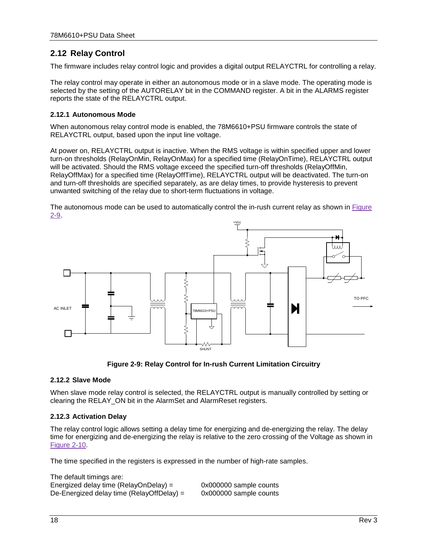# <span id="page-17-0"></span>**2.12 Relay Control**

The firmware includes relay control logic and provides a digital output RELAYCTRL for controlling a relay.

The relay control may operate in either an autonomous mode or in a slave mode. The operating mode is selected by the setting of the AUTORELAY bit in the COMMAND register. A bit in the ALARMS register reports the state of the RELAYCTRL output.

#### <span id="page-17-1"></span>**2.12.1 Autonomous Mode**

When autonomous relay control mode is enabled, the 78M6610+PSU firmware controls the state of RELAYCTRL output, based upon the input line voltage.

At power on, RELAYCTRL output is inactive. When the RMS voltage is within specified upper and lower turn-on thresholds (RelayOnMin, RelayOnMax) for a specified time (RelayOnTime), RELAYCTRL output will be activated. Should the RMS voltage exceed the specified turn-off thresholds (RelayOffMin, RelayOffMax) for a specified time (RelayOffTime), RELAYCTRL output will be deactivated. The turn-on and turn-off thresholds are specified separately, as are delay times, to provide hysteresis to prevent unwanted switching of the relay due to short-term fluctuations in voltage.

The autonomous mode can be used to automatically control the in-rush current relay as shown in Figure [2-9.](#page-17-4)





#### <span id="page-17-4"></span><span id="page-17-2"></span>**2.12.2 Slave Mode**

When slave mode relay control is selected, the RELAYCTRL output is manually controlled by setting or clearing the RELAY\_ON bit in the AlarmSet and AlarmReset registers.

#### <span id="page-17-3"></span>**2.12.3 Activation Delay**

The default timings are:

The relay control logic allows setting a delay time for energizing and de-energizing the relay. The delay time for energizing and de-energizing the relay is relative to the zero crossing of the Voltage as shown in [Figure 2-10.](#page-18-0)

The time specified in the registers is expressed in the number of high-rate samples.

| The default timings are:                  |                        |
|-------------------------------------------|------------------------|
| Energized delay time (RelayOnDelay) =     | 0x000000 sample counts |
| De-Energized delay time (RelayOffDelay) = | 0x000000 sample counts |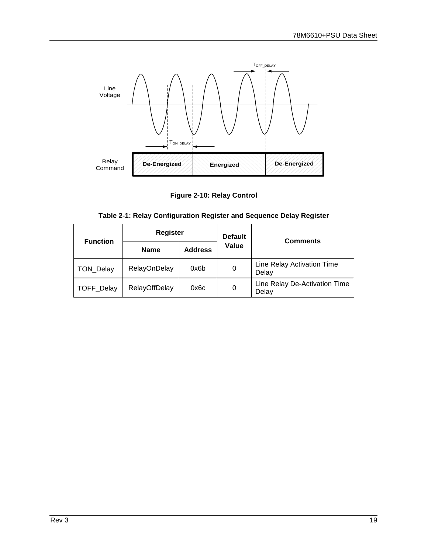

**Figure 2-10: Relay Control**

| Table 2-1: Relay Configuration Register and Sequence Delay Register |  |  |
|---------------------------------------------------------------------|--|--|
|                                                                     |  |  |

<span id="page-18-1"></span><span id="page-18-0"></span>

| <b>Function</b>   | <b>Register</b>      |                | <b>Default</b> | <b>Comments</b>                        |  |  |
|-------------------|----------------------|----------------|----------------|----------------------------------------|--|--|
|                   | <b>Name</b>          | <b>Address</b> | Value          |                                        |  |  |
| TON_Delay         | <b>RelayOnDelay</b>  | 0x6b           | 0              | Line Relay Activation Time<br>Delay    |  |  |
| <b>TOFF Delay</b> | <b>RelayOffDelay</b> | 0x6c           | 0              | Line Relay De-Activation Time<br>Delay |  |  |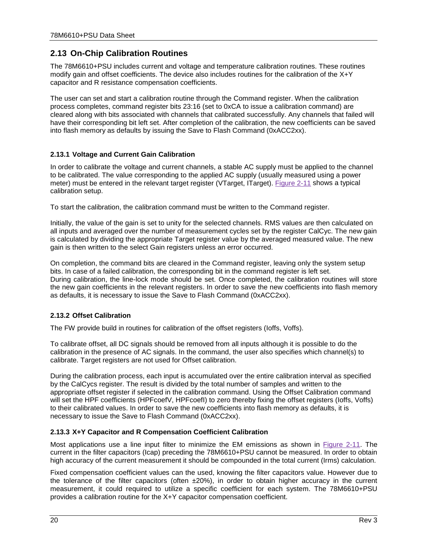# <span id="page-19-0"></span>**2.13 On-Chip Calibration Routines**

The 78M6610+PSU includes current and voltage and temperature calibration routines. These routines modify gain and offset coefficients. The device also includes routines for the calibration of the X+Y capacitor and R resistance compensation coefficients.

The user can set and start a calibration routine through the Command register. When the calibration process completes, command register bits 23:16 (set to 0xCA to issue a calibration command) are cleared along with bits associated with channels that calibrated successfully. Any channels that failed will have their corresponding bit left set. After completion of the calibration, the new coefficients can be saved into flash memory as defaults by issuing the Save to Flash Command (0xACC2xx).

#### <span id="page-19-1"></span>**2.13.1 Voltage and Current Gain Calibration**

In order to calibrate the voltage and current channels, a stable AC supply must be applied to the channel to be calibrated. The value corresponding to the applied AC supply (usually measured using a power meter) must be entered in the relevant target register (VTarget, ITarget). [Figure 2-11](#page-20-2) shows a typical calibration setup.

To start the calibration, the calibration command must be written to the Command register.

Initially, the value of the gain is set to unity for the selected channels. RMS values are then calculated on all inputs and averaged over the number of measurement cycles set by the register CalCyc. The new gain is calculated by dividing the appropriate Target register value by the averaged measured value. The new gain is then written to the select Gain registers unless an error occurred.

On completion, the command bits are cleared in the Command register, leaving only the system setup bits. In case of a failed calibration, the corresponding bit in the command register is left set. During calibration, the line-lock mode should be set. Once completed, the calibration routines will store the new gain coefficients in the relevant registers. In order to save the new coefficients into flash memory as defaults, it is necessary to issue the Save to Flash Command (0xACC2xx).

#### <span id="page-19-2"></span>**2.13.2 Offset Calibration**

The FW provide build in routines for calibration of the offset registers (Ioffs, Voffs).

To calibrate offset, all DC signals should be removed from all inputs although it is possible to do the calibration in the presence of AC signals. In the command, the user also specifies which channel(s) to calibrate. Target registers are not used for Offset calibration.

During the calibration process, each input is accumulated over the entire calibration interval as specified by the CalCycs register. The result is divided by the total number of samples and written to the appropriate offset register if selected in the calibration command. Using the Offset Calibration command will set the HPF coefficients (HPFcoefV, HPFcoefI) to zero thereby fixing the offset registers (loffs, Voffs) to their calibrated values. In order to save the new coefficients into flash memory as defaults, it is necessary to issue the Save to Flash Command (0xACC2xx).

#### <span id="page-19-3"></span>**2.13.3 X+Y Capacitor and R Compensation Coefficient Calibration**

Most applications use a line input filter to minimize the EM emissions as shown in [Figure](#page-20-2) 2-11. The current in the filter capacitors (Icap) preceding the 78M6610+PSU cannot be measured. In order to obtain high accuracy of the current measurement it should be compounded in the total current (Irms) calculation.

Fixed compensation coefficient values can the used, knowing the filter capacitors value. However due to the tolerance of the filter capacitors (often  $\pm 20\%$ ), in order to obtain higher accuracy in the current measurement, it could required to utilize a specific coefficient for each system. The 78M6610+PSU provides a calibration routine for the X+Y capacitor compensation coefficient.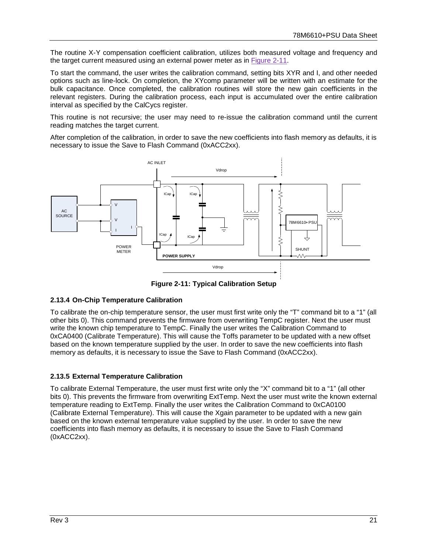The routine X-Y compensation coefficient calibration, utilizes both measured voltage and frequency and the target current measured using an external power meter as in [Figure 2-11.](#page-20-2)

To start the command, the user writes the calibration command, setting bits XYR and I, and other needed options such as line-lock. On completion, the XYcomp parameter will be written with an estimate for the bulk capacitance. Once completed, the calibration routines will store the new gain coefficients in the relevant registers. During the calibration process, each input is accumulated over the entire calibration interval as specified by the CalCycs register.

This routine is not recursive; the user may need to re-issue the calibration command until the current reading matches the target current.

After completion of the calibration, in order to save the new coefficients into flash memory as defaults, it is necessary to issue the Save to Flash Command (0xACC2xx).



**Figure 2-11: Typical Calibration Setup**

#### <span id="page-20-2"></span><span id="page-20-0"></span>**2.13.4 On-Chip Temperature Calibration**

To calibrate the on-chip temperature sensor, the user must first write only the "T" command bit to a "1" (all other bits 0). This command prevents the firmware from overwriting TempC register. Next the user must write the known chip temperature to TempC. Finally the user writes the Calibration Command to 0xCA0400 (Calibrate Temperature). This will cause the Toffs parameter to be updated with a new offset based on the known temperature supplied by the user. In order to save the new coefficients into flash memory as defaults, it is necessary to issue the Save to Flash Command (0xACC2xx).

#### <span id="page-20-1"></span>**2.13.5 External Temperature Calibration**

To calibrate External Temperature, the user must first write only the "X" command bit to a "1" (all other bits 0). This prevents the firmware from overwriting ExtTemp. Next the user must write the known external temperature reading to ExtTemp. Finally the user writes the Calibration Command to 0xCA0100 (Calibrate External Temperature). This will cause the Xgain parameter to be updated with a new gain based on the known external temperature value supplied by the user. In order to save the new coefficients into flash memory as defaults, it is necessary to issue the Save to Flash Command (0xACC2xx).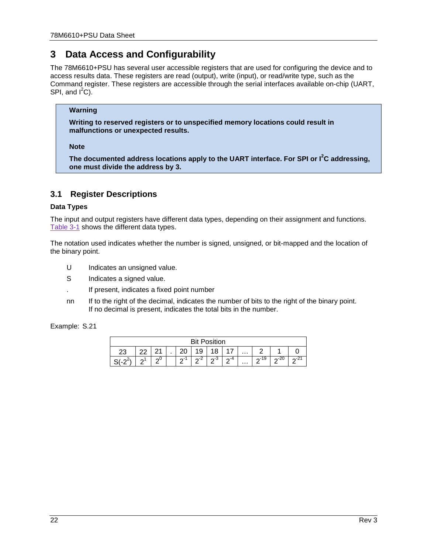# <span id="page-21-0"></span>**3 Data Access and Configurability**

The 78M6610+PSU has several user accessible registers that are used for configuring the device and to access results data. These registers are read (output), write (input), or read/write type, such as the Command register. These registers are accessible through the serial interfaces available on-chip (UART, SPI, and  $I^2C$ ).

#### **Warning**

**Writing to reserved registers or to unspecified memory locations could result in malfunctions or unexpected results.**

**Note**

**The documented address locations apply to the UART interface. For SPI or I<sup>2</sup> C addressing, one must divide the address by 3.**

## <span id="page-21-1"></span>**3.1 Register Descriptions**

#### **Data Types**

The input and output registers have different data types, depending on their assignment and functions. [Table 3-1](#page-22-0) shows the different data types.

The notation used indicates whether the number is signed, unsigned, or bit-mapped and the location of the binary point.

- U Indicates an unsigned value.
- S Indicates a signed value.
- . If present, indicates a fixed point number
- nn If to the right of the decimal, indicates the number of bits to the right of the binary point. If no decimal is present, indicates the total bits in the number.

| Example: S.21 |
|---------------|
|---------------|

| <b>Bit Position</b> |                         |        |  |            |        |     |           |          |           |      |   |
|---------------------|-------------------------|--------|--|------------|--------|-----|-----------|----------|-----------|------|---|
|                     | R<br>9<br>$\cdots$<br>u |        |  |            |        |     |           |          |           |      |   |
| Ω                   | ⌒                       | $\sim$ |  | $\sqrt{2}$ | $\sim$ | ഹ-ാ | $\sim$ -4 | $\cdots$ | 19<br>ി ന | ∩∹∠∪ | ⌒ |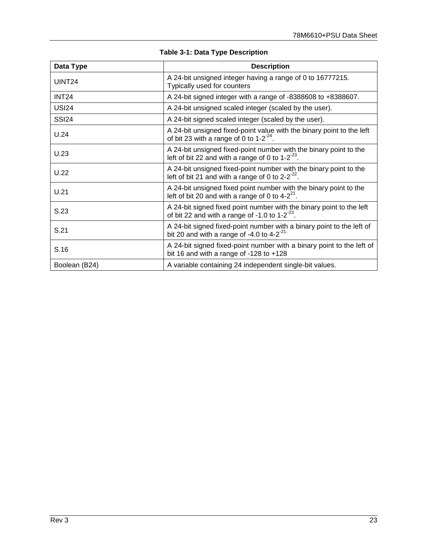<span id="page-22-0"></span>

| <b>Table 3-1: Data Type Description</b> |                                                                                                                               |  |  |  |
|-----------------------------------------|-------------------------------------------------------------------------------------------------------------------------------|--|--|--|
| Data Type                               | <b>Description</b>                                                                                                            |  |  |  |
| UINT <sub>24</sub>                      | A 24-bit unsigned integer having a range of 0 to 16777215.<br>Typically used for counters                                     |  |  |  |
| INT <sub>24</sub>                       | A 24-bit signed integer with a range of -8388608 to +8388607.                                                                 |  |  |  |
| <b>USI24</b>                            | A 24-bit unsigned scaled integer (scaled by the user).                                                                        |  |  |  |
| <b>SSI24</b>                            | A 24-bit signed scaled integer (scaled by the user).                                                                          |  |  |  |
| U.24                                    | A 24-bit unsigned fixed-point value with the binary point to the left<br>of bit 23 with a range of 0 to $1-2^{-24}$ .         |  |  |  |
| U.23                                    | A 24-bit unsigned fixed-point number with the binary point to the<br>left of bit 22 and with a range of 0 to $1-2^{-23}$ .    |  |  |  |
| U.22                                    | A 24-bit unsigned fixed-point number with the binary point to the<br>left of bit 21 and with a range of 0 to $2-2^{-22}$ .    |  |  |  |
| U.21                                    | A 24-bit unsigned fixed point number with the binary point to the<br>left of bit 20 and with a range of 0 to $4-2^{21}$ .     |  |  |  |
| S.23                                    | A 24-bit signed fixed point number with the binary point to the left<br>of bit 22 and with a range of $-1.0$ to $1-2^{-23}$ . |  |  |  |
| S.21                                    | A 24-bit signed fixed-point number with a binary point to the left of<br>bit 20 and with a range of -4.0 to 4-2 $2^{21}$      |  |  |  |
| S.16                                    | A 24-bit signed fixed-point number with a binary point to the left of<br>bit 16 and with a range of $-128$ to $+128$          |  |  |  |

Boolean (B24) A variable containing 24 independent single-bit values.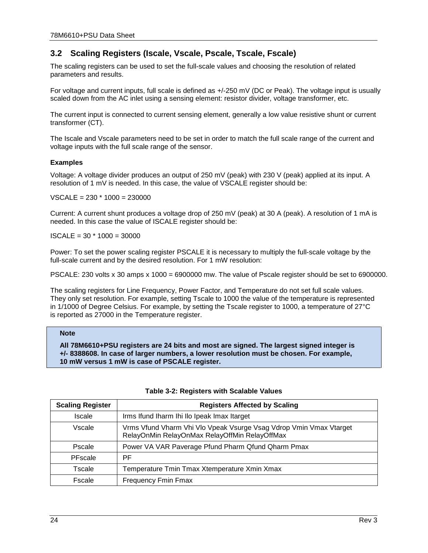# <span id="page-23-0"></span>**3.2 Scaling Registers (Iscale, Vscale, Pscale, Tscale, Fscale)**

The scaling registers can be used to set the full-scale values and choosing the resolution of related parameters and results.

For voltage and current inputs, full scale is defined as +/-250 mV (DC or Peak). The voltage input is usually scaled down from the AC inlet using a sensing element: resistor divider, voltage transformer, etc.

The current input is connected to current sensing element, generally a low value resistive shunt or current transformer (CT).

The Iscale and Vscale parameters need to be set in order to match the full scale range of the current and voltage inputs with the full scale range of the sensor.

#### **Examples**

Voltage: A voltage divider produces an output of 250 mV (peak) with 230 V (peak) applied at its input. A resolution of 1 mV is needed. In this case, the value of VSCALE register should be:

 $VSCALE = 230 * 1000 = 230000$ 

Current: A current shunt produces a voltage drop of 250 mV (peak) at 30 A (peak). A resolution of 1 mA is needed. In this case the value of ISCALE register should be:

 $ISCALE = 30 * 1000 = 30000$ 

Power: To set the power scaling register PSCALE it is necessary to multiply the full-scale voltage by the full-scale current and by the desired resolution. For 1 mW resolution:

PSCALE: 230 volts x 30 amps x 1000 = 6900000 mw. The value of Pscale register should be set to 6900000.

The scaling registers for Line Frequency, Power Factor, and Temperature do not set full scale values. They only set resolution. For example, setting Tscale to 1000 the value of the temperature is represented in 1/1000 of Degree Celsius. For example, by setting the Tscale register to 1000, a temperature of 27°C is reported as 27000 in the Temperature register.

#### **Note**

**All 78M6610+PSU registers are 24 bits and most are signed. The largest signed integer is +/- 8388608. In case of larger numbers, a lower resolution must be chosen. For example, 10 mW versus 1 mW is case of PSCALE register.**

<span id="page-23-1"></span>

| <b>Scaling Register</b> | <b>Registers Affected by Scaling</b>                                                                                |
|-------------------------|---------------------------------------------------------------------------------------------------------------------|
| <b>Iscale</b>           | Irms Ifund Iharm Ihi Ilo Ipeak Imax Itarget                                                                         |
| Vscale                  | Vrms Vfund Vharm Vhi Vlo Vpeak Vsurge Vsag Vdrop Vmin Vmax Vtarget<br>RelayOnMin RelayOnMax RelayOffMin RelayOffMax |
| Pscale                  | Power VA VAR Paverage Pfund Pharm Qfund Qharm Pmax                                                                  |
| PFscale                 | PF                                                                                                                  |
| Tscale                  | Temperature Tmin Tmax Xtemperature Xmin Xmax                                                                        |
| Fscale                  | <b>Frequency Fmin Fmax</b>                                                                                          |

#### **Table 3-2: Registers with Scalable Values**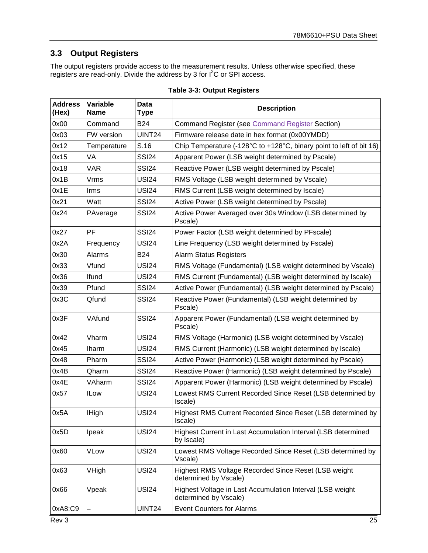# <span id="page-24-0"></span>**3.3 Output Registers**

The output registers provide access to the measurement results. Unless otherwise specified, these registers are read-only. Divide the address by 3 for I<sup>2</sup>C or SPI access.

<span id="page-24-1"></span>

| <b>Address</b><br>(Hex) | Variable<br><b>Name</b> | <b>Data</b><br>Type | <b>Description</b>                                                                 |  |
|-------------------------|-------------------------|---------------------|------------------------------------------------------------------------------------|--|
| 0x00                    | Command                 | <b>B24</b>          | <b>Command Register (see Command Register Section)</b>                             |  |
| 0x03                    | FW version              | UINT24              | Firmware release date in hex format (0x00YMDD)                                     |  |
| 0x12                    | Temperature             | S.16                | Chip Temperature (-128°C to +128°C, binary point to left of bit 16)                |  |
| 0x15                    | VA                      | SSI <sub>24</sub>   | Apparent Power (LSB weight determined by Pscale)                                   |  |
| 0x18                    | <b>VAR</b>              | <b>SSI24</b>        | Reactive Power (LSB weight determined by Pscale)                                   |  |
| 0x1B                    | Vrms                    | <b>USI24</b>        | RMS Voltage (LSB weight determined by Vscale)                                      |  |
| 0x1E                    | Irms                    | <b>USI24</b>        | RMS Current (LSB weight determined by Iscale)                                      |  |
| 0x21                    | Watt                    | <b>SSI24</b>        | Active Power (LSB weight determined by Pscale)                                     |  |
| 0x24                    | PAverage                | <b>SSI24</b>        | Active Power Averaged over 30s Window (LSB determined by<br>Pscale)                |  |
| 0x27                    | <b>PF</b>               | <b>SSI24</b>        | Power Factor (LSB weight determined by PFscale)                                    |  |
| 0x2A                    | Frequency               | <b>USI24</b>        | Line Frequency (LSB weight determined by Fscale)                                   |  |
| 0x30                    | Alarms                  | <b>B24</b>          | <b>Alarm Status Registers</b>                                                      |  |
| 0x33                    | Vfund                   | <b>USI24</b>        | RMS Voltage (Fundamental) (LSB weight determined by Vscale)                        |  |
| 0x36                    | Ifund                   | <b>USI24</b>        | RMS Current (Fundamental) (LSB weight determined by Iscale)                        |  |
| 0x39                    | Pfund                   | <b>SSI24</b>        | Active Power (Fundamental) (LSB weight determined by Pscale)                       |  |
| 0x3C                    | Qfund                   | <b>SSI24</b>        | Reactive Power (Fundamental) (LSB weight determined by<br>Pscale)                  |  |
| 0x3F                    | VAfund                  | <b>SSI24</b>        | Apparent Power (Fundamental) (LSB weight determined by<br>Pscale)                  |  |
| 0x42                    | Vharm                   | <b>USI24</b>        | RMS Voltage (Harmonic) (LSB weight determined by Vscale)                           |  |
| 0x45                    | Iharm                   | <b>USI24</b>        | RMS Current (Harmonic) (LSB weight determined by Iscale)                           |  |
| 0x48                    | Pharm                   | <b>SSI24</b>        | Active Power (Harmonic) (LSB weight determined by Pscale)                          |  |
| 0x4B                    | Qharm                   | <b>SSI24</b>        | Reactive Power (Harmonic) (LSB weight determined by Pscale)                        |  |
| 0x4E                    | VAharm                  | <b>SSI24</b>        | Apparent Power (Harmonic) (LSB weight determined by Pscale)                        |  |
| 0x57                    | <b>ILow</b>             | <b>USI24</b>        | Lowest RMS Current Recorded Since Reset (LSB determined by<br>Iscale)              |  |
| 0x5A                    | <b>IHigh</b>            | <b>USI24</b>        | Highest RMS Current Recorded Since Reset (LSB determined by<br>Iscale)             |  |
| 0x5D                    | Ipeak                   | <b>USI24</b>        | Highest Current in Last Accumulation Interval (LSB determined<br>by Iscale)        |  |
| 0x60                    | <b>VLow</b>             | <b>USI24</b>        | Lowest RMS Voltage Recorded Since Reset (LSB determined by<br>Vscale)              |  |
| 0x63                    | VHigh                   | <b>USI24</b>        | Highest RMS Voltage Recorded Since Reset (LSB weight<br>determined by Vscale)      |  |
| 0x66                    | Vpeak                   | <b>USI24</b>        | Highest Voltage in Last Accumulation Interval (LSB weight<br>determined by Vscale) |  |
| 0xA8:C9                 |                         | UINT24              | <b>Event Counters for Alarms</b>                                                   |  |
| Rev 3                   |                         |                     | 25                                                                                 |  |

### **Table 3-3: Output Registers**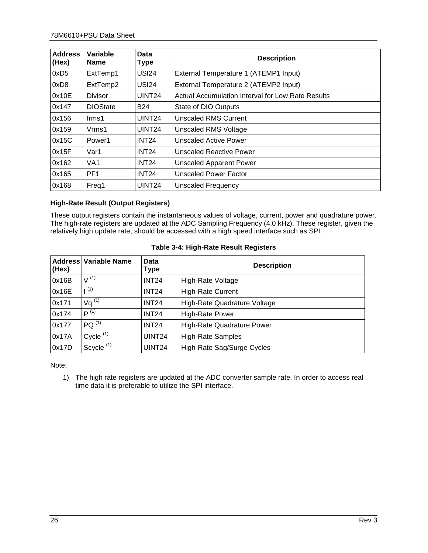| <b>Address</b><br>(Hex) | Variable<br><b>Name</b> | Data<br>Type       | <b>Description</b>                                |
|-------------------------|-------------------------|--------------------|---------------------------------------------------|
| 0xD5                    | ExtTemp1                | <b>USI24</b>       | External Temperature 1 (ATEMP1 Input)             |
| 0xD8                    | ExtTemp2                | <b>USI24</b>       | External Temperature 2 (ATEMP2 Input)             |
| 0x10E                   | <b>Divisor</b>          | UINT <sub>24</sub> | Actual Accumulation Interval for Low Rate Results |
| 0x147                   | <b>DIOState</b>         | <b>B24</b>         | State of DIO Outputs                              |
| 0x156                   | lrms1                   | UINT24             | Unscaled RMS Current                              |
| 0x159                   | Vrms1                   | UINT <sub>24</sub> | Unscaled RMS Voltage                              |
| 0x15C                   | Power1                  | INT <sub>24</sub>  | <b>Unscaled Active Power</b>                      |
| 0x15F                   | Var1                    | <b>INT24</b>       | <b>Unscaled Reactive Power</b>                    |
| 0x162                   | VA <sub>1</sub>         | INT <sub>24</sub>  | <b>Unscaled Apparent Power</b>                    |
| 0x165                   | PF <sub>1</sub>         | <b>INT24</b>       | <b>Unscaled Power Factor</b>                      |
| 0x168                   | Freq1                   | UINT <sub>24</sub> | Unscaled Frequency                                |

#### **High-Rate Result (Output Registers)**

These output registers contain the instantaneous values of voltage, current, power and quadrature power. The high-rate registers are updated at the ADC Sampling Frequency (4.0 kHz). These register, given the relatively high update rate, should be accessed with a high speed interface such as SPI.

<span id="page-25-0"></span>

| (Hex) | Address Variable Name | Data<br>Type       | <b>Description</b>           |
|-------|-----------------------|--------------------|------------------------------|
| 0x16B | $V^{(1)}$             | <b>INT24</b>       | High-Rate Voltage            |
| 0x16E | (1)                   | <b>INT24</b>       | <b>High-Rate Current</b>     |
| 0x171 | $Vq^{(1)}$            | <b>INT24</b>       | High-Rate Quadrature Voltage |
| 0x174 | $P^{(1)}$             | <b>INT24</b>       | <b>High-Rate Power</b>       |
| 0x177 | $PQ^{(1)}$            | <b>INT24</b>       | High-Rate Quadrature Power   |
| 0x17A | Cycle $(1)$           | UINT <sub>24</sub> | <b>High-Rate Samples</b>     |
| 0x17D | Scycle <sup>(1)</sup> | UINT24             | High-Rate Sag/Surge Cycles   |

#### **Table 3-4: High-Rate Result Registers**

Note:

1) The high rate registers are updated at the ADC converter sample rate. In order to access real time data it is preferable to utilize the SPI interface.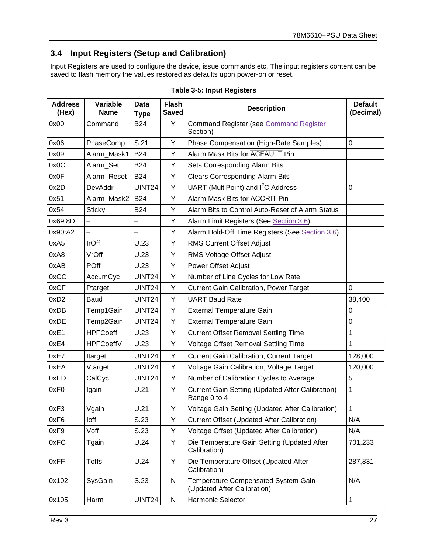# <span id="page-26-0"></span>**3.4 Input Registers (Setup and Calibration)**

Input Registers are used to configure the device, issue commands etc. The input registers content can be saved to flash memory the values restored as defaults upon power-on or reset.

<span id="page-26-1"></span>

| <b>Address</b><br>(Hex) | Variable<br><b>Name</b> | <b>Data</b><br><b>Type</b> | <b>Flash</b><br><b>Saved</b> | <b>Description</b>                                                 | <b>Default</b><br>(Decimal) |
|-------------------------|-------------------------|----------------------------|------------------------------|--------------------------------------------------------------------|-----------------------------|
| 0x00                    | Command                 | <b>B24</b>                 | Y                            | <b>Command Register (see Command Register</b><br>Section)          |                             |
| 0x06                    | PhaseComp               | S.21                       | Y                            | Phase Compensation (High-Rate Samples)                             | 0                           |
| 0x09                    | Alarm_Mask1             | <b>B24</b>                 | Υ                            | Alarm Mask Bits for ACFAULT Pin                                    |                             |
| 0x0C                    | Alarm_Set               | <b>B24</b>                 | Υ                            | Sets Corresponding Alarm Bits                                      |                             |
| 0x0F                    | Alarm_Reset             | <b>B24</b>                 | Y                            | <b>Clears Corresponding Alarm Bits</b>                             |                             |
| 0x2D                    | DevAddr                 | <b>UINT24</b>              | Υ                            | UART (MultiPoint) and I <sup>2</sup> C Address                     | 0                           |
| 0x51                    | Alarm_Mask2             | <b>B24</b>                 | Υ                            | Alarm Mask Bits for <b>ACCRIT</b> Pin                              |                             |
| 0x54                    | <b>Sticky</b>           | <b>B24</b>                 | Y                            | Alarm Bits to Control Auto-Reset of Alarm Status                   |                             |
| 0x69:8D                 |                         |                            | Υ                            | Alarm Limit Registers (See Section 3.6)                            |                             |
| 0x90:A2                 |                         |                            | Υ                            | Alarm Hold-Off Time Registers (See Section 3.6)                    |                             |
| 0xA5                    | <b>IrOff</b>            | U.23                       | Y                            | <b>RMS Current Offset Adjust</b>                                   |                             |
| 0xA8                    | VrOff                   | U.23                       | Y                            | RMS Voltage Offset Adjust                                          |                             |
| 0xAB                    | <b>POff</b>             | U.23                       | Υ                            | <b>Power Offset Adjust</b>                                         |                             |
| 0xCC                    | AccumCyc                | <b>UINT24</b>              | Y                            | Number of Line Cycles for Low Rate                                 |                             |
| 0xCF                    | Ptarget                 | <b>UINT24</b>              | Y                            | <b>Current Gain Calibration, Power Target</b>                      | 0                           |
| 0xD2                    | Baud                    | UINT24                     | Y                            | <b>UART Baud Rate</b>                                              | 38,400                      |
| 0xDB                    | Temp1Gain               | <b>UINT24</b>              | Y                            | <b>External Temperature Gain</b>                                   | 0                           |
| 0xDE                    | Temp2Gain               | UINT24                     | Y                            | <b>External Temperature Gain</b>                                   | 0                           |
| 0xE1                    | <b>HPFCoeffl</b>        | U.23                       | Υ                            | <b>Current Offset Removal Settling Time</b>                        | 1                           |
| 0xE4                    | <b>HPFCoeffV</b>        | U.23                       | Y                            | Voltage Offset Removal Settling Time                               | 1                           |
| 0xE7                    | Itarget                 | <b>UINT24</b>              | Y                            | <b>Current Gain Calibration, Current Target</b>                    | 128,000                     |
| 0xEA                    | Vtarget                 | UINT24                     | Y                            | Voltage Gain Calibration, Voltage Target                           | 120,000                     |
| 0xED                    | CalCyc                  | <b>UINT24</b>              | Υ                            | Number of Calibration Cycles to Average                            | 5                           |
| 0xF0                    | Igain                   | U.21                       | Y                            | Current Gain Setting (Updated After Calibration)<br>Range 0 to 4   | 1                           |
| 0xF3                    | Vgain                   | U.21                       | Υ                            | Voltage Gain Setting (Updated After Calibration)                   | 1                           |
| 0xF6                    | loff                    | S.23                       | Y                            | Current Offset (Updated After Calibration)                         | N/A                         |
| 0xF9                    | Voff                    | S.23                       | Y                            | Voltage Offset (Updated After Calibration)                         | N/A                         |
| 0xFC                    | Tgain                   | U.24                       | Y                            | Die Temperature Gain Setting (Updated After<br>Calibration)        | 701,233                     |
| 0xFF                    | <b>Toffs</b>            | U.24                       | Y                            | Die Temperature Offset (Updated After<br>Calibration)              | 287,831                     |
| 0x102                   | SysGain                 | S.23                       | N                            | Temperature Compensated System Gain<br>(Updated After Calibration) | N/A                         |
| 0x105                   | Harm                    | UINT24                     | N                            | Harmonic Selector                                                  | $\mathbf{1}$                |

#### **Table 3-5: Input Registers**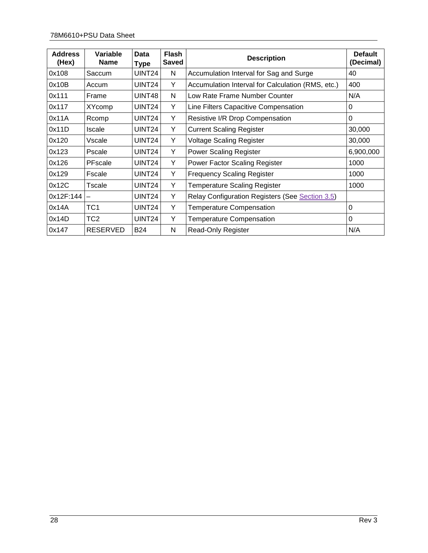| <b>Address</b><br>(Hex) | Variable<br><b>Name</b> | Data<br><b>Type</b> | <b>Flash</b><br><b>Saved</b> | <b>Description</b>                                | <b>Default</b><br>(Decimal) |
|-------------------------|-------------------------|---------------------|------------------------------|---------------------------------------------------|-----------------------------|
| 0x108                   | Saccum                  | UINT24              | N                            | Accumulation Interval for Sag and Surge           | 40                          |
| 0x10B                   | Accum                   | UINT <sub>24</sub>  | Y                            | Accumulation Interval for Calculation (RMS, etc.) | 400                         |
| 0x111                   | Frame                   | UINT48              | N                            | Low Rate Frame Number Counter                     | N/A                         |
| 0x117                   | <b>XYcomp</b>           | UINT <sub>24</sub>  | Y                            | Line Filters Capacitive Compensation              | 0                           |
| 0x11A                   | Rcomp                   | UINT <sub>24</sub>  | Y                            | Resistive I/R Drop Compensation                   | $\Omega$                    |
| 0x11D                   | <b>Iscale</b>           | UINT <sub>24</sub>  | Y                            | <b>Current Scaling Register</b>                   | 30,000                      |
| 0x120                   | Vscale                  | UINT <sub>24</sub>  | Y                            | <b>Voltage Scaling Register</b>                   | 30,000                      |
| 0x123                   | Pscale                  | UINT <sub>24</sub>  | Y                            | <b>Power Scaling Register</b>                     | 6,900,000                   |
| 0x126                   | PFscale                 | UINT24              | Y                            | <b>Power Factor Scaling Register</b>              | 1000                        |
| 0x129                   | Fscale                  | UINT <sub>24</sub>  | Y                            | <b>Frequency Scaling Register</b>                 | 1000                        |
| 0x12C                   | Tscale                  | UINT <sub>24</sub>  | Y                            | Temperature Scaling Register                      | 1000                        |
| 0x12F:144               | —                       | UINT <sub>24</sub>  | Y                            | Relay Configuration Registers (See Section 3.5)   |                             |
| 0x14A                   | TC1                     | UINT <sub>24</sub>  | Y                            | <b>Temperature Compensation</b>                   | 0                           |
| 0x14D                   | TC <sub>2</sub>         | UINT <sub>24</sub>  | Y                            | <b>Temperature Compensation</b>                   | 0                           |
| 0x147                   | <b>RESERVED</b>         | <b>B24</b>          | N                            | <b>Read-Only Register</b>                         | N/A                         |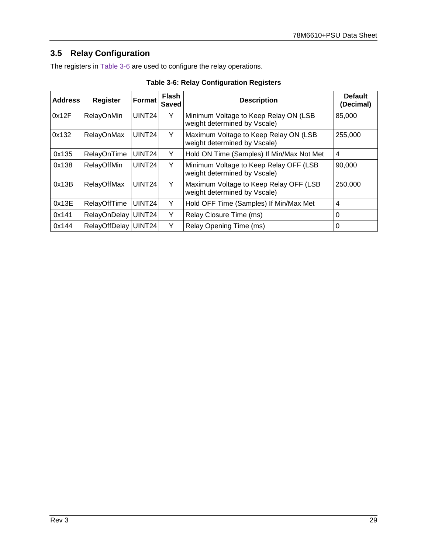# <span id="page-28-0"></span>**3.5 Relay Configuration**

The registers in **Table 3-6** are used to configure the relay operations.

<span id="page-28-1"></span>

| <b>Address</b> | <b>Register</b>    | Format             | <b>Flash</b><br><b>Saved</b> | <b>Description</b>                                                               | <b>Default</b><br>(Decimal) |
|----------------|--------------------|--------------------|------------------------------|----------------------------------------------------------------------------------|-----------------------------|
| 0x12F          | RelayOnMin         | UINT <sub>24</sub> | Y                            | Minimum Voltage to Keep Relay ON (LSB<br>weight determined by Vscale)            | 85,000                      |
| 0x132          | RelayOnMax         | UINT <sub>24</sub> | Y                            | Maximum Voltage to Keep Relay ON (LSB<br>255,000<br>weight determined by Vscale) |                             |
| 0x135          | RelayOnTime        | UINT <sub>24</sub> | Y                            | Hold ON Time (Samples) If Min/Max Not Met                                        | 4                           |
| 0x138          | RelayOffMin        | UINT <sub>24</sub> | Y                            | Minimum Voltage to Keep Relay OFF (LSB<br>weight determined by Vscale)           | 90,000                      |
| 0x13B          | <b>RelayOffMax</b> | UINT <sub>24</sub> | Y                            | Maximum Voltage to Keep Relay OFF (LSB<br>weight determined by Vscale)           | 250,000                     |
| 0x13E          | RelayOffTime       | UINT24             | Y                            | Hold OFF Time (Samples) If Min/Max Met                                           | 4                           |
| 0x141          | RelayOnDelay       | <b>UINT24</b>      | Υ                            | Relay Closure Time (ms)                                                          | $\Omega$                    |
| 0x144          | RelayOffDelay      | UINT24             | Y                            | Relay Opening Time (ms)                                                          | 0                           |

**Table 3-6: Relay Configuration Registers**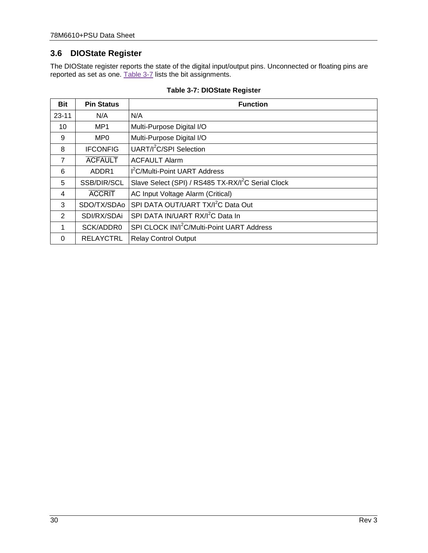# <span id="page-29-0"></span>**3.6 DIOState Register**

The DIOState register reports the state of the digital input/output pins. Unconnected or floating pins are reported as set as one. [Table 3-7](#page-29-1) lists the bit assignments.

<span id="page-29-1"></span>

| <b>Bit</b>     | <b>Pin Status</b> | <b>Function</b>                                                |
|----------------|-------------------|----------------------------------------------------------------|
| $23 - 11$      | N/A               | N/A                                                            |
| 10             | MP <sub>1</sub>   | Multi-Purpose Digital I/O                                      |
| 9              | MP <sub>0</sub>   | Multi-Purpose Digital I/O                                      |
| 8              | <b>IFCONFIG</b>   | UART/I <sup>2</sup> C/SPI Selection                            |
| $\overline{7}$ | <b>ACFAULT</b>    | <b>ACFAULT Alarm</b>                                           |
| 6              | ADDR1             | I <sup>2</sup> C/Multi-Point UART Address                      |
| 5              | SSB/DIR/SCL       | Slave Select (SPI) / RS485 TX-RX/I <sup>2</sup> C Serial Clock |
| 4              | <b>ACCRIT</b>     | AC Input Voltage Alarm (Critical)                              |
| 3              | SDO/TX/SDAo       | SPI DATA OUT/UART TX/I <sup>2</sup> C Data Out                 |
| 2              | SDI/RX/SDAi       | SPI DATA IN/UART RX/I <sup>2</sup> C Data In                   |
| 1              | SCK/ADDR0         | SPI CLOCK IN/I <sup>2</sup> C/Multi-Point UART Address         |
| $\Omega$       | <b>RELAYCTRL</b>  | <b>Relay Control Output</b>                                    |

#### **Table 3-7: DIOState Register**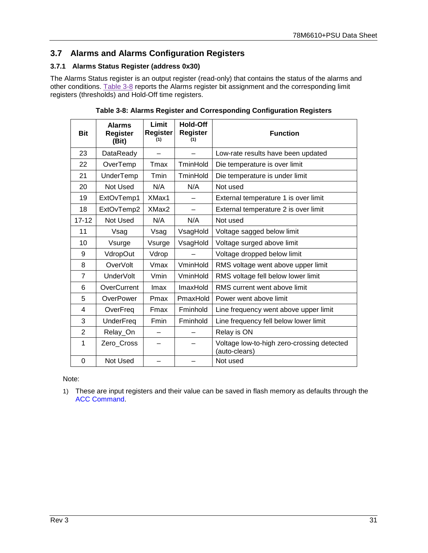# <span id="page-30-0"></span>**3.7 Alarms and Alarms Configuration Registers**

#### <span id="page-30-1"></span>**3.7.1 Alarms Status Register (address 0x30)**

The Alarms Status register is an output register (read-only) that contains the status of the alarms and other conditions. [Table 3-8](#page-30-2) reports the Alarms register bit assignment and the corresponding limit registers (thresholds) and Hold-Off time registers.

<span id="page-30-2"></span>

| <b>Bit</b>     | <b>Alarms</b><br><b>Register</b><br>(Bit) | Limit<br><b>Register</b><br>(1) | <b>Hold-Off</b><br><b>Register</b><br>(1) | <b>Function</b>                                             |
|----------------|-------------------------------------------|---------------------------------|-------------------------------------------|-------------------------------------------------------------|
| 23             | DataReady                                 |                                 |                                           | Low-rate results have been updated                          |
| 22             | OverTemp                                  | Tmax                            | TminHold                                  | Die temperature is over limit                               |
| 21             | UnderTemp                                 | Tmin                            | TminHold                                  | Die temperature is under limit                              |
| 20             | Not Used                                  | N/A                             | N/A                                       | Not used                                                    |
| 19             | ExtOvTemp1                                | XMax1                           |                                           | External temperature 1 is over limit                        |
| 18             | ExtOvTemp2                                | XMax2                           |                                           | External temperature 2 is over limit                        |
| $17 - 12$      | Not Used                                  | N/A                             | N/A                                       | Not used                                                    |
| 11             | Vsag                                      | Vsag                            | VsagHold                                  | Voltage sagged below limit                                  |
| 10             | Vsurge                                    | Vsurge                          | VsagHold                                  | Voltage surged above limit                                  |
| 9              | VdropOut                                  | Vdrop                           |                                           | Voltage dropped below limit                                 |
| 8              | OverVolt                                  | Vmax                            | VminHold                                  | RMS voltage went above upper limit                          |
| $\overline{7}$ | <b>UnderVolt</b>                          | Vmin                            | VminHold                                  | RMS voltage fell below lower limit                          |
| 6              | OverCurrent                               | Imax                            | ImaxHold                                  | RMS current went above limit                                |
| 5              | OverPower                                 | <b>Pmax</b>                     | PmaxHold                                  | Power went above limit                                      |
| 4              | OverFreq                                  | Fmax                            | Fminhold                                  | Line frequency went above upper limit                       |
| 3              | <b>UnderFreq</b>                          | Fmin                            | Fminhold                                  | Line frequency fell below lower limit                       |
| $\overline{2}$ | Relay_On                                  |                                 |                                           | Relay is ON                                                 |
| 1              | Zero_Cross                                |                                 |                                           | Voltage low-to-high zero-crossing detected<br>(auto-clears) |
| $\mathbf 0$    | Not Used                                  |                                 |                                           | Not used                                                    |

**Table 3-8: Alarms Register and Corresponding Configuration Registers**

Note:

1) These are input registers and their value can be saved in flash memory as defaults through the [ACC Command.](#page-38-6)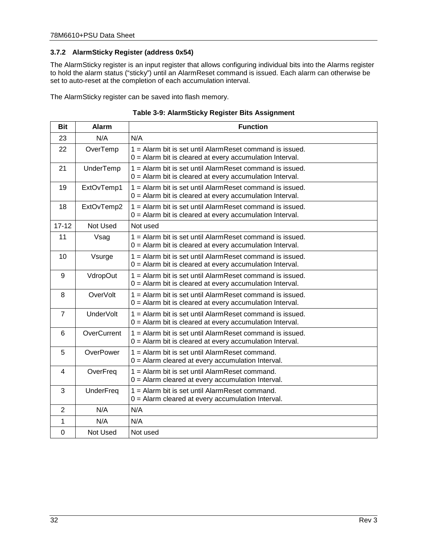#### <span id="page-31-0"></span>**3.7.2 AlarmSticky Register (address 0x54)**

The AlarmSticky register is an input register that allows configuring individual bits into the Alarms register to hold the alarm status ("sticky") until an AlarmReset command is issued. Each alarm can otherwise be set to auto-reset at the completion of each accumulation interval.

The AlarmSticky register can be saved into flash memory.

<span id="page-31-1"></span>

| <b>Bit</b>     | <b>Alarm</b>     | <b>Function</b>                                                                                                        |
|----------------|------------------|------------------------------------------------------------------------------------------------------------------------|
| 23             | N/A              | N/A                                                                                                                    |
| 22             | OverTemp         | 1 = Alarm bit is set until AlarmReset command is issued.<br>$0 =$ Alarm bit is cleared at every accumulation Interval. |
| 21             | UnderTemp        | 1 = Alarm bit is set until AlarmReset command is issued.<br>$0 =$ Alarm bit is cleared at every accumulation Interval. |
| 19             | ExtOvTemp1       | 1 = Alarm bit is set until AlarmReset command is issued.<br>$0 =$ Alarm bit is cleared at every accumulation Interval. |
| 18             | ExtOvTemp2       | 1 = Alarm bit is set until AlarmReset command is issued.<br>$0 =$ Alarm bit is cleared at every accumulation Interval. |
| $17 - 12$      | Not Used         | Not used                                                                                                               |
| 11             | Vsag             | 1 = Alarm bit is set until AlarmReset command is issued.<br>$0 =$ Alarm bit is cleared at every accumulation Interval. |
| 10             | Vsurge           | 1 = Alarm bit is set until AlarmReset command is issued.<br>$0 =$ Alarm bit is cleared at every accumulation Interval. |
| 9              | VdropOut         | 1 = Alarm bit is set until AlarmReset command is issued.<br>$0 =$ Alarm bit is cleared at every accumulation Interval. |
| 8              | OverVolt         | 1 = Alarm bit is set until AlarmReset command is issued.<br>$0 =$ Alarm bit is cleared at every accumulation Interval. |
| $\overline{7}$ | <b>UnderVolt</b> | 1 = Alarm bit is set until AlarmReset command is issued.<br>0 = Alarm bit is cleared at every accumulation Interval.   |
| 6              | OverCurrent      | 1 = Alarm bit is set until AlarmReset command is issued.<br>$0 =$ Alarm bit is cleared at every accumulation Interval. |
| 5              | OverPower        | 1 = Alarm bit is set until AlarmReset command.<br>$0 =$ Alarm cleared at every accumulation Interval.                  |
| 4              | OverFreq         | 1 = Alarm bit is set until AlarmReset command.<br>$0 =$ Alarm cleared at every accumulation Interval.                  |
| 3              | UnderFreq        | 1 = Alarm bit is set until AlarmReset command.<br>$0 =$ Alarm cleared at every accumulation Interval.                  |
| $\overline{2}$ | N/A              | N/A                                                                                                                    |
| 1              | N/A              | N/A                                                                                                                    |
| $\Omega$       | Not Used         | Not used                                                                                                               |

| Table 3-9: AlarmSticky Register Bits Assignment |  |  |
|-------------------------------------------------|--|--|
|-------------------------------------------------|--|--|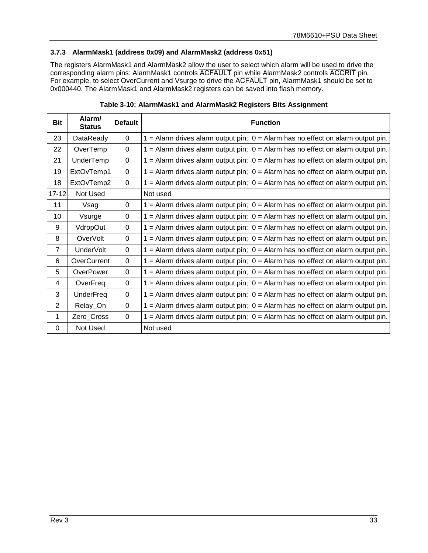#### <span id="page-32-0"></span>**3.7.3 AlarmMask1 (address 0x09) and AlarmMask2 (address 0x51)**

The registers AlarmMask1 and AlarmMask2 allow the user to select which alarm will be used to drive the corresponding alarm pins: AlarmMask1 controls ACFAULT pin while AlarmMask2 controls ACCRIT pin. For example, to select OverCurrent and Vsurge to drive the ACFAULT pin, AlarmMask1 should be set to 0x000440. The AlarmMask1 and AlarmMask2 registers can be saved into flash memory.

<span id="page-32-1"></span>

| Bit            | Alarm/<br><b>Status</b> | <b>Default</b> | <b>Function</b>                                                                     |
|----------------|-------------------------|----------------|-------------------------------------------------------------------------------------|
| 23             | DataReady               | $\Omega$       | $1 =$ Alarm drives alarm output pin; $0 =$ Alarm has no effect on alarm output pin. |
| 22             | OverTemp                | $\Omega$       | $1 =$ Alarm drives alarm output pin; $0 =$ Alarm has no effect on alarm output pin. |
| 21             | UnderTemp               | 0              | $1 =$ Alarm drives alarm output pin; $0 =$ Alarm has no effect on alarm output pin. |
| 19             | ExtOvTemp1              | $\Omega$       | $1 =$ Alarm drives alarm output pin; $0 =$ Alarm has no effect on alarm output pin. |
| 18             | ExtOvTemp2              | $\Omega$       | $1 =$ Alarm drives alarm output pin; $0 =$ Alarm has no effect on alarm output pin. |
| $17 - 12$      | Not Used                |                | Not used                                                                            |
| 11             | Vsag                    | $\mathbf 0$    | $1 =$ Alarm drives alarm output pin; $0 =$ Alarm has no effect on alarm output pin. |
| 10             | Vsurge                  | $\Omega$       | $1 =$ Alarm drives alarm output pin; $0 =$ Alarm has no effect on alarm output pin. |
| 9              | VdropOut                | $\Omega$       | $1 =$ Alarm drives alarm output pin; $0 =$ Alarm has no effect on alarm output pin. |
| 8              | <b>OverVolt</b>         | $\Omega$       | $1 =$ Alarm drives alarm output pin; $0 =$ Alarm has no effect on alarm output pin. |
| $\overline{7}$ | <b>UnderVolt</b>        | $\Omega$       | $1 =$ Alarm drives alarm output pin; $0 =$ Alarm has no effect on alarm output pin. |
| 6              | OverCurrent             | $\Omega$       | $1 =$ Alarm drives alarm output pin; $0 =$ Alarm has no effect on alarm output pin. |
| 5              | OverPower               | 0              | $1 =$ Alarm drives alarm output pin; $0 =$ Alarm has no effect on alarm output pin. |
| 4              | OverFreq                | 0              | $1 =$ Alarm drives alarm output pin; $0 =$ Alarm has no effect on alarm output pin. |
| 3              | <b>UnderFreq</b>        | $\Omega$       | $1 =$ Alarm drives alarm output pin; $0 =$ Alarm has no effect on alarm output pin. |
| 2              | Relay_On                | $\Omega$       | $1 =$ Alarm drives alarm output pin; $0 =$ Alarm has no effect on alarm output pin. |
| 1              | Zero_Cross              | $\Omega$       | $1 =$ Alarm drives alarm output pin; $0 =$ Alarm has no effect on alarm output pin. |
| $\Omega$       | Not Used                |                | Not used                                                                            |

**Table 3-10: AlarmMask1 and AlarmMask2 Registers Bits Assignment**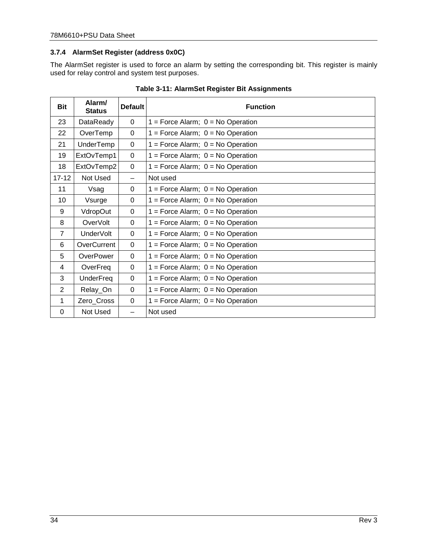#### <span id="page-33-0"></span>**3.7.4 AlarmSet Register (address 0x0C)**

The AlarmSet register is used to force an alarm by setting the corresponding bit. This register is mainly used for relay control and system test purposes.

<span id="page-33-1"></span>

| <b>Bit</b>     | Alarm/<br><b>Status</b> | <b>Default</b> | <b>Function</b>                       |  |
|----------------|-------------------------|----------------|---------------------------------------|--|
| 23             | DataReady               | $\Omega$       | $1 =$ Force Alarm; $0 =$ No Operation |  |
| 22             | OverTemp                | 0              | $1 =$ Force Alarm; $0 =$ No Operation |  |
| 21             | UnderTemp               | $\Omega$       | $1 =$ Force Alarm; $0 =$ No Operation |  |
| 19             | ExtOvTemp1              | $\Omega$       | $1 =$ Force Alarm; $0 =$ No Operation |  |
| 18             | ExtOvTemp2              | $\Omega$       | $1 =$ Force Alarm; $0 =$ No Operation |  |
| $17 - 12$      | Not Used                |                | Not used                              |  |
| 11             | Vsag                    | $\Omega$       | $1 =$ Force Alarm; $0 =$ No Operation |  |
| 10             | Vsurge                  | $\Omega$       | $1 =$ Force Alarm; $0 =$ No Operation |  |
| 9              | VdropOut                | $\Omega$       | $1 =$ Force Alarm; $0 =$ No Operation |  |
| 8              | <b>OverVolt</b>         | $\Omega$       | $1 =$ Force Alarm; $0 =$ No Operation |  |
| $\overline{7}$ | <b>UnderVolt</b>        | $\Omega$       | $1 =$ Force Alarm; $0 =$ No Operation |  |
| 6              | OverCurrent             | $\Omega$       | $1 =$ Force Alarm; $0 =$ No Operation |  |
| 5              | OverPower               | 0              | $1 =$ Force Alarm; $0 =$ No Operation |  |
| 4              | OverFreq                | $\Omega$       | $1 =$ Force Alarm; $0 =$ No Operation |  |
| 3              | <b>UnderFreq</b>        | $\Omega$       | $1 =$ Force Alarm; $0 =$ No Operation |  |
| $\overline{2}$ | Relay_On                | 0              | $1 =$ Force Alarm; $0 =$ No Operation |  |
| 1              | Zero_Cross              | $\Omega$       | $1 =$ Force Alarm; $0 =$ No Operation |  |
| 0              | Not Used                |                | Not used                              |  |

**Table 3-11: AlarmSet Register Bit Assignments**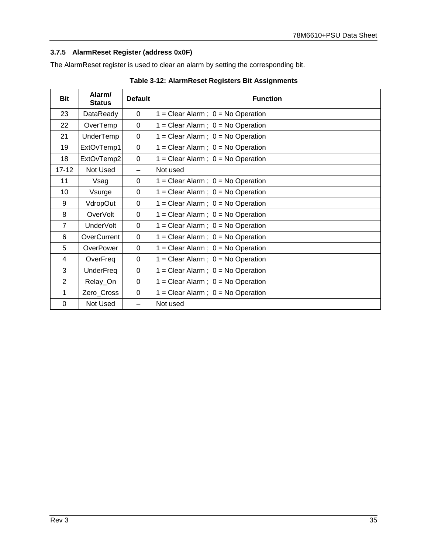## <span id="page-34-0"></span>**3.7.5 AlarmReset Register (address 0x0F)**

The AlarmReset register is used to clear an alarm by setting the corresponding bit.

<span id="page-34-1"></span>

| <b>Bit</b>     | Alarm/<br><b>Status</b> | <b>Default</b> | <b>Function</b>                       |
|----------------|-------------------------|----------------|---------------------------------------|
| 23             | DataReady               | $\Omega$       | $1 =$ Clear Alarm; $0 =$ No Operation |
| 22             | OverTemp                | 0              | $1 =$ Clear Alarm; $0 =$ No Operation |
| 21             | UnderTemp               | 0              | $1 =$ Clear Alarm; $0 =$ No Operation |
| 19             | ExtOvTemp1              | $\mathbf 0$    | $1 =$ Clear Alarm; $0 =$ No Operation |
| 18             | ExtOvTemp2              | 0              | $1 =$ Clear Alarm; $0 =$ No Operation |
| $17 - 12$      | Not Used                |                | Not used                              |
| 11             | Vsag                    | $\Omega$       | $1 =$ Clear Alarm; $0 =$ No Operation |
| 10             | Vsurge                  | $\Omega$       | $1 =$ Clear Alarm; $0 =$ No Operation |
| 9              | VdropOut                | $\Omega$       | $1 =$ Clear Alarm; $0 =$ No Operation |
| 8              | OverVolt                | $\Omega$       | $1 =$ Clear Alarm; $0 =$ No Operation |
| $\overline{7}$ | UnderVolt               | $\Omega$       | $1 =$ Clear Alarm; $0 =$ No Operation |
| 6              | OverCurrent             | $\Omega$       | $1 =$ Clear Alarm; $0 =$ No Operation |
| 5              | OverPower               | $\Omega$       | $1 =$ Clear Alarm; $0 =$ No Operation |
| 4              | OverFreq                | 0              | $1 =$ Clear Alarm; $0 =$ No Operation |
| 3              | <b>UnderFreq</b>        | $\Omega$       | $1 =$ Clear Alarm; $0 =$ No Operation |
| $\overline{2}$ | Relay_On                | $\Omega$       | $1 =$ Clear Alarm; $0 =$ No Operation |
| 1              | Zero_Cross              | $\Omega$       | $1 =$ Clear Alarm; $0 =$ No Operation |
| $\Omega$       | Not Used                |                | Not used                              |

#### **Table 3-12: AlarmReset Registers Bit Assignments**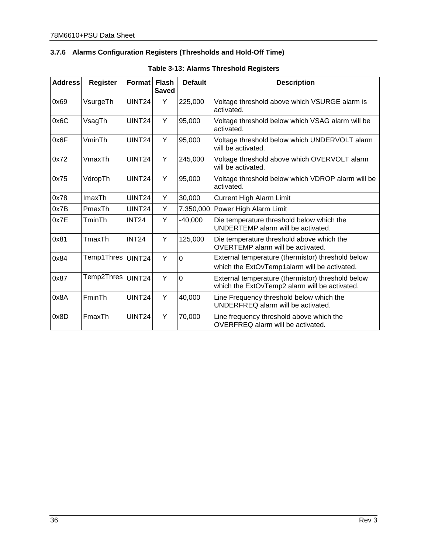## <span id="page-35-0"></span>**3.7.6 Alarms Configuration Registers (Thresholds and Hold-Off Time)**

<span id="page-35-1"></span>

| <b>Address</b> | <b>Register</b> | Format        | <b>Flash</b><br><b>Saved</b> | <b>Default</b> | <b>Description</b>                                                                                 |
|----------------|-----------------|---------------|------------------------------|----------------|----------------------------------------------------------------------------------------------------|
| 0x69           | VsurgeTh        | UINT24        | Y                            | 225,000        | Voltage threshold above which VSURGE alarm is<br>activated.                                        |
| 0x6C           | VsagTh          | <b>UINT24</b> | Y                            | 95,000         | Voltage threshold below which VSAG alarm will be<br>activated.                                     |
| 0x6F           | VminTh          | <b>UINT24</b> | Y                            | 95,000         | Voltage threshold below which UNDERVOLT alarm<br>will be activated.                                |
| 0x72           | VmaxTh          | <b>UINT24</b> | Y                            | 245,000        | Voltage threshold above which OVERVOLT alarm<br>will be activated.                                 |
| 0x75           | VdropTh         | UINT24        | Υ                            | 95,000         | Voltage threshold below which VDROP alarm will be<br>activated.                                    |
| 0x78           | ImaxTh          | UINT24        | Y                            | 30,000         | <b>Current High Alarm Limit</b>                                                                    |
| 0x7B           | PmaxTh          | <b>UINT24</b> | Y                            | 7,350,000      | Power High Alarm Limit                                                                             |
| 0x7E           | TminTh          | <b>INT24</b>  | Y                            | $-40,000$      | Die temperature threshold below which the<br>UNDERTEMP alarm will be activated.                    |
| 0x81           | TmaxTh          | <b>INT24</b>  | Y                            | 125,000        | Die temperature threshold above which the<br>OVERTEMP alarm will be activated.                     |
| 0x84           | Temp1Thres      | <b>UINT24</b> | Y                            | $\overline{0}$ | External temperature (thermistor) threshold below<br>which the ExtOvTemp1alarm will be activated.  |
| 0x87           | Temp2Thres      | <b>UINT24</b> | Y                            | $\mathbf 0$    | External temperature (thermistor) threshold below<br>which the ExtOvTemp2 alarm will be activated. |
| 0x8A           | FminTh          | <b>UINT24</b> | Y                            | 40,000         | Line Frequency threshold below which the<br>UNDERFREQ alarm will be activated.                     |
| 0x8D           | FmaxTh          | <b>UINT24</b> | Y                            | 70,000         | Line frequency threshold above which the<br>OVERFREQ alarm will be activated.                      |

### **Table 3-13: Alarms Threshold Registers**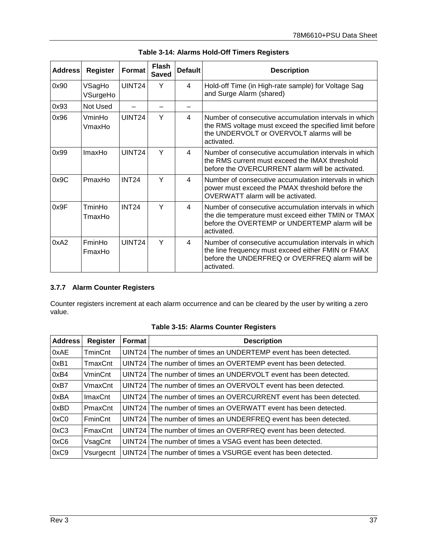<span id="page-36-1"></span>

| <b>Address</b> | <b>Register</b>    | Format             | <b>Flash</b><br><b>Saved</b> | <b>Default</b> | <b>Description</b>                                                                                                                                                           |
|----------------|--------------------|--------------------|------------------------------|----------------|------------------------------------------------------------------------------------------------------------------------------------------------------------------------------|
| 0x90           | VSagHo<br>VSurgeHo | UINT <sub>24</sub> | Y                            | 4              | Hold-off Time (in High-rate sample) for Voltage Sag<br>and Surge Alarm (shared)                                                                                              |
| 0x93           | Not Used           |                    |                              |                |                                                                                                                                                                              |
| 0x96           | VminHo<br>VmaxHo   | UINT24             | Y                            | 4              | Number of consecutive accumulation intervals in which<br>the RMS voltage must exceed the specified limit before<br>the UNDERVOLT or OVERVOLT alarms will be<br>activated.    |
| 0x99           | ImaxHo             | UINT <sub>24</sub> | Υ                            | 4              | Number of consecutive accumulation intervals in which<br>the RMS current must exceed the IMAX threshold<br>before the OVERCURRENT alarm will be activated.                   |
| 0x9C           | PmaxHo             | <b>INT24</b>       | Y                            | 4              | Number of consecutive accumulation intervals in which<br>power must exceed the PMAX threshold before the<br>OVERWATT alarm will be activated.                                |
| 0x9F           | TminHo<br>TmaxHo   | <b>INT24</b>       | Y                            | 4              | Number of consecutive accumulation intervals in which<br>the die temperature must exceed either TMIN or TMAX<br>before the OVERTEMP or UNDERTEMP alarm will be<br>activated. |
| 0xA2           | FminHo<br>FmaxHo   | UINT <sub>24</sub> | Y                            | 4              | Number of consecutive accumulation intervals in which<br>the line frequency must exceed either FMIN or FMAX<br>before the UNDERFREQ or OVERFREQ alarm will be<br>activated.  |

| Table 3-14: Alarms Hold-Off Timers Registers |  |
|----------------------------------------------|--|
|----------------------------------------------|--|

#### <span id="page-36-0"></span>**3.7.7 Alarm Counter Registers**

Counter registers increment at each alarm occurrence and can be cleared by the user by writing a zero value.

<span id="page-36-2"></span>

| <b>Address</b> | <b>Register</b> | Format | <b>Description</b>                                                 |
|----------------|-----------------|--------|--------------------------------------------------------------------|
| 0xAE           | <b>TminCnt</b>  |        | UINT24 The number of times an UNDERTEMP event has been detected.   |
| 0xB1           | TmaxCnt         |        | UINT24 The number of times an OVERTEMP event has been detected.    |
| 0xB4           | <b>VminCnt</b>  |        | UINT24 The number of times an UNDERVOLT event has been detected.   |
| 0xB7           | VmaxCnt         |        | UINT24 The number of times an OVERVOLT event has been detected.    |
| 0xBA           | <b>ImaxCnt</b>  |        | UINT24 The number of times an OVERCURRENT event has been detected. |
| 0xBD           | PmaxCnt         |        | UINT24 The number of times an OVERWATT event has been detected.    |
| 0xC0           | <b>FminCnt</b>  |        | UINT24 The number of times an UNDERFREQ event has been detected.   |
| 0xC3           | FmaxCnt         |        | UINT24 The number of times an OVERFREQ event has been detected.    |
| 0xC6           | VsagCnt         |        | UINT24 The number of times a VSAG event has been detected.         |
| 0xC9           | Vsurgecnt       |        | UINT24 The number of times a VSURGE event has been detected.       |

### **Table 3-15: Alarms Counter Registers**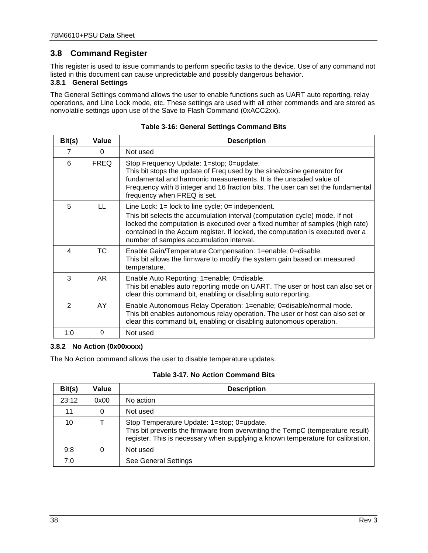# <span id="page-37-0"></span>**3.8 Command Register**

This register is used to issue commands to perform specific tasks to the device. Use of any command not listed in this document can cause unpredictable and possibly dangerous behavior.

### <span id="page-37-1"></span>**3.8.1 General Settings**

The General Settings command allows the user to enable functions such as UART auto reporting, relay operations, and Line Lock mode, etc. These settings are used with all other commands and are stored as nonvolatile settings upon use of the Save to Flash Command (0xACC2xx).

<span id="page-37-3"></span>

| Bit(s) | Value        | <b>Description</b>                                                                                                                                                                                                                                                                                                                                    |
|--------|--------------|-------------------------------------------------------------------------------------------------------------------------------------------------------------------------------------------------------------------------------------------------------------------------------------------------------------------------------------------------------|
| 7      | $\Omega$     | Not used                                                                                                                                                                                                                                                                                                                                              |
| 6      | <b>FREQ</b>  | Stop Frequency Update: 1=stop; 0=update.<br>This bit stops the update of Freq used by the sine/cosine generator for<br>fundamental and harmonic measurements. It is the unscaled value of<br>Frequency with 8 integer and 16 fraction bits. The user can set the fundamental<br>frequency when FREQ is set.                                           |
| 5      | $\mathbf{L}$ | Line Lock: $1 =$ lock to line cycle; $0 =$ independent.<br>This bit selects the accumulation interval (computation cycle) mode. If not<br>locked the computation is executed over a fixed number of samples (high rate)<br>contained in the Accum register. If locked, the computation is executed over a<br>number of samples accumulation interval. |
| 4      | <b>TC</b>    | Enable Gain/Temperature Compensation: 1=enable; 0=disable.<br>This bit allows the firmware to modify the system gain based on measured<br>temperature.                                                                                                                                                                                                |
| 3      | AR.          | Enable Auto Reporting: 1=enable; 0=disable.<br>This bit enables auto reporting mode on UART. The user or host can also set or<br>clear this command bit, enabling or disabling auto reporting.                                                                                                                                                        |
| 2      | AY           | Enable Autonomous Relay Operation: 1=enable; 0=disable/normal mode.<br>This bit enables autonomous relay operation. The user or host can also set or<br>clear this command bit, enabling or disabling autonomous operation.                                                                                                                           |
| 1:0    | $\Omega$     | Not used                                                                                                                                                                                                                                                                                                                                              |

| <b>Table 3-16: General Settings Command Bits</b> |  |
|--------------------------------------------------|--|
|--------------------------------------------------|--|

#### <span id="page-37-2"></span>**3.8.2 No Action (0x00xxxx)**

The No Action command allows the user to disable temperature updates.

|  |  |  | Table 3-17. No Action Command Bits |  |
|--|--|--|------------------------------------|--|
|--|--|--|------------------------------------|--|

<span id="page-37-4"></span>

| Bit(s) | Value | <b>Description</b>                                                                                                                                                                                              |
|--------|-------|-----------------------------------------------------------------------------------------------------------------------------------------------------------------------------------------------------------------|
| 23:12  | 0x00  | No action                                                                                                                                                                                                       |
| 11     |       | Not used                                                                                                                                                                                                        |
| 10     |       | Stop Temperature Update: 1=stop; 0=update.<br>This bit prevents the firmware from overwriting the TempC (temperature result)<br>register. This is necessary when supplying a known temperature for calibration. |
| 9:8    |       | Not used                                                                                                                                                                                                        |
| 7:0    |       | <b>See General Settings</b>                                                                                                                                                                                     |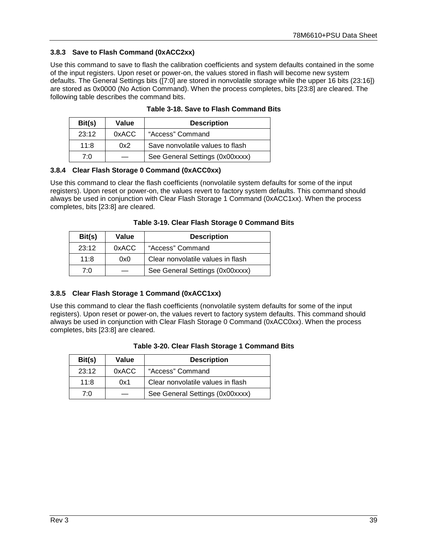#### <span id="page-38-0"></span>**3.8.3 Save to Flash Command (0xACC2xx)**

<span id="page-38-6"></span>Use this command to save to flash the calibration coefficients and system defaults contained in the some of the input registers. Upon reset or power-on, the values stored in flash will become new system defaults. The General Settings bits ([7:0] are stored in nonvolatile storage while the upper 16 bits (23:16]) are stored as 0x0000 (No Action Command). When the process completes, bits [23:8] are cleared. The following table describes the command bits.

<span id="page-38-3"></span>

| Bit(s) | Value | <b>Description</b>               |
|--------|-------|----------------------------------|
| 23:12  | 0xACC | "Access" Command                 |
| 11:8   | 0x2   | Save nonvolatile values to flash |
| 7۰0    |       | See General Settings (0x00xxxx)  |

**Table 3-18. Save to Flash Command Bits**

#### <span id="page-38-1"></span>**3.8.4 Clear Flash Storage 0 Command (0xACC0xx)**

Use this command to clear the flash coefficients (nonvolatile system defaults for some of the input registers). Upon reset or power-on, the values revert to factory system defaults. This command should always be used in conjunction with Clear Flash Storage 1 Command (0xACC1xx). When the process completes, bits [23:8] are cleared.

<span id="page-38-4"></span>

| Bit(s) | Value | <b>Description</b>                |
|--------|-------|-----------------------------------|
| 23:12  | 0xACC | "Access" Command                  |
| 11:8   | 0x0   | Clear nonvolatile values in flash |
| 7۰0    |       | See General Settings (0x00xxxx)   |

### <span id="page-38-2"></span>**3.8.5 Clear Flash Storage 1 Command (0xACC1xx)**

Use this command to clear the flash coefficients (nonvolatile system defaults for some of the input registers). Upon reset or power-on, the values revert to factory system defaults. This command should always be used in conjunction with Clear Flash Storage 0 Command (0xACC0xx). When the process completes, bits [23:8] are cleared.

<span id="page-38-5"></span>

| Bit(s) | Value | <b>Description</b>                |
|--------|-------|-----------------------------------|
| 23:12  | 0xACC | "Access" Command                  |
| 11:8   | 0x1   | Clear nonvolatile values in flash |
| 7۰0    |       | See General Settings (0x00xxxx)   |

|  |  |  | Table 3-20. Clear Flash Storage 1 Command Bits |  |
|--|--|--|------------------------------------------------|--|
|  |  |  |                                                |  |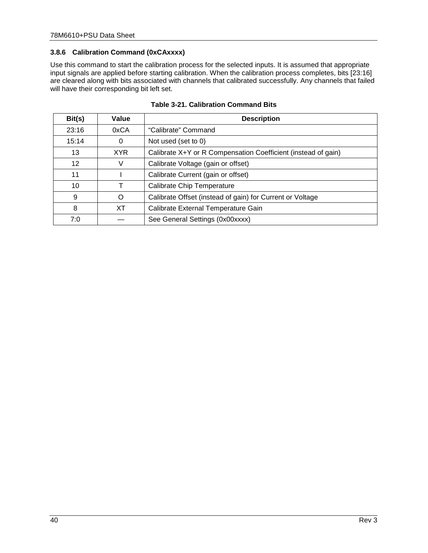#### <span id="page-39-0"></span>**3.8.6 Calibration Command (0xCAxxxx)**

Use this command to start the calibration process for the selected inputs. It is assumed that appropriate input signals are applied before starting calibration. When the calibration process completes, bits [23:16] are cleared along with bits associated with channels that calibrated successfully. Any channels that failed will have their corresponding bit left set.

<span id="page-39-1"></span>

| Bit(s)            | Value      | <b>Description</b>                                            |
|-------------------|------------|---------------------------------------------------------------|
| 23:16             | 0xCA       | "Calibrate" Command                                           |
| 15:14             | 0          | Not used (set to 0)                                           |
| 13                | <b>XYR</b> | Calibrate X+Y or R Compensation Coefficient (instead of gain) |
| $12 \overline{ }$ |            | Calibrate Voltage (gain or offset)                            |
| 11                |            | Calibrate Current (gain or offset)                            |
| 10                |            | <b>Calibrate Chip Temperature</b>                             |
| 9                 | O          | Calibrate Offset (instead of gain) for Current or Voltage     |
| 8                 | ХT         | Calibrate External Temperature Gain                           |
| 7:0               |            | See General Settings (0x00xxxx)                               |

**Table 3-21. Calibration Command Bits**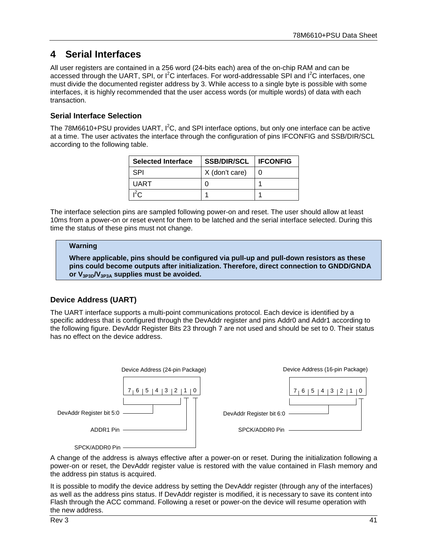# <span id="page-40-0"></span>**4 Serial Interfaces**

All user registers are contained in a 256 word (24-bits each) area of the on-chip RAM and can be accessed through the UART, SPI, or  $I^2C$  interfaces. For word-addressable SPI and  $I^2C$  interfaces, one must divide the documented register address by 3. While access to a single byte is possible with some interfaces, it is highly recommended that the user access words (or multiple words) of data with each transaction.

### **Serial Interface Selection**

The 78M6610+PSU provides UART,  $I^2C$ , and SPI interface options, but only one interface can be active at a time. The user activates the interface through the configuration of pins IFCONFIG and SSB/DIR/SCL according to the following table.

| <b>Selected Interface</b> | <b>SSB/DIR/SCL</b> | <b>I IFCONFIG</b> |
|---------------------------|--------------------|-------------------|
| <b>SPI</b>                | X (don't care)     |                   |
| UART                      |                    |                   |
| $\mathsf{P}^2$ r          |                    |                   |

The interface selection pins are sampled following power-on and reset. The user should allow at least 10ms from a power-on or reset event for them to be latched and the serial interface selected. During this time the status of these pins must not change.

#### **Warning**

**Where applicable, pins should be configured via pull-up and pull-down resistors as these pins could become outputs after initialization. Therefore, direct connection to GNDD/GNDA or V3P3D/V3P3A supplies must be avoided.**

## **Device Address (UART)**

The UART interface supports a multi-point communications protocol. Each device is identified by a specific address that is configured through the DevAddr register and pins Addr0 and Addr1 according to the following figure. DevAddr Register Bits 23 through 7 are not used and should be set to 0. Their status has no effect on the device address.



A change of the address is always effective after a power-on or reset. During the initialization following a power-on or reset, the DevAddr register value is restored with the value contained in Flash memory and the address pin status is acquired.

It is possible to modify the device address by setting the DevAddr register (through any of the interfaces) as well as the address pins status. If DevAddr register is modified, it is necessary to save its content into Flash through the ACC command. Following a reset or power-on the device will resume operation with the new address.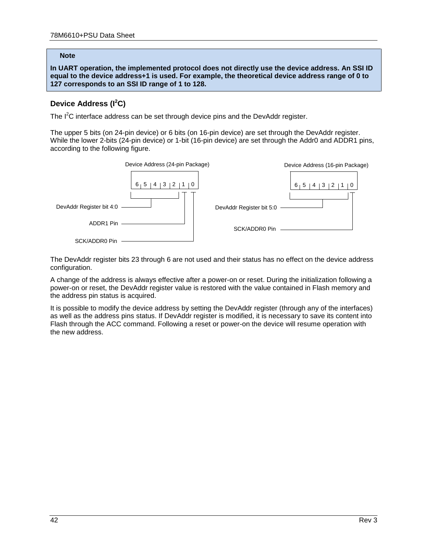#### **Note**

**In UART operation, the implemented protocol does not directly use the device address. An SSI ID equal to the device address+1 is used. For example, the theoretical device address range of 0 to 127 corresponds to an SSI ID range of 1 to 128.**

## **Device Address (I<sup>2</sup> C)**

The  $I^2C$  interface address can be set through device pins and the DevAddr register.

The upper 5 bits (on 24-pin device) or 6 bits (on 16-pin device) are set through the DevAddr register. While the lower 2-bits (24-pin device) or 1-bit (16-pin device) are set through the Addr0 and ADDR1 pins, according to the following figure.



The DevAddr register bits 23 through 6 are not used and their status has no effect on the device address configuration.

A change of the address is always effective after a power-on or reset. During the initialization following a power-on or reset, the DevAddr register value is restored with the value contained in Flash memory and the address pin status is acquired.

It is possible to modify the device address by setting the DevAddr register (through any of the interfaces) as well as the address pins status. If DevAddr register is modified, it is necessary to save its content into Flash through the ACC command. Following a reset or power-on the device will resume operation with the new address.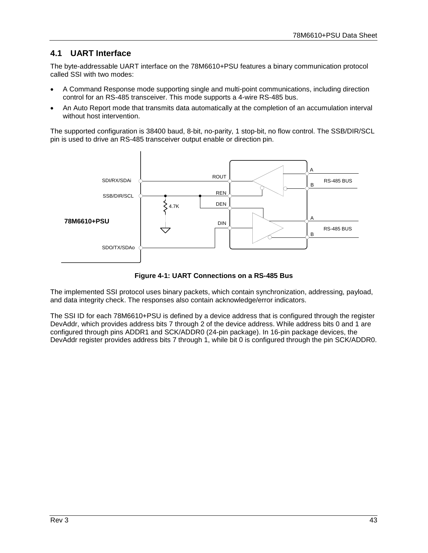# <span id="page-42-0"></span>**4.1 UART Interface**

The byte-addressable UART interface on the 78M6610+PSU features a binary communication protocol called SSI with two modes:

- A Command Response mode supporting single and multi-point communications, including direction control for an RS-485 transceiver. This mode supports a 4-wire RS-485 bus.
- An Auto Report mode that transmits data automatically at the completion of an accumulation interval without host intervention.

The supported configuration is 38400 baud, 8-bit, no-parity, 1 stop-bit, no flow control. The SSB/DIR/SCL pin is used to drive an RS-485 transceiver output enable or direction pin.



**Figure 4-1: UART Connections on a RS-485 Bus**

<span id="page-42-1"></span>The implemented SSI protocol uses binary packets, which contain synchronization, addressing, payload, and data integrity check. The responses also contain acknowledge/error indicators.

The SSI ID for each 78M6610+PSU is defined by a device address that is configured through the register DevAddr, which provides address bits 7 through 2 of the device address. While address bits 0 and 1 are configured through pins ADDR1 and SCK/ADDR0 (24-pin package). In 16-pin package devices, the DevAddr register provides address bits 7 through 1, while bit 0 is configured through the pin SCK/ADDR0.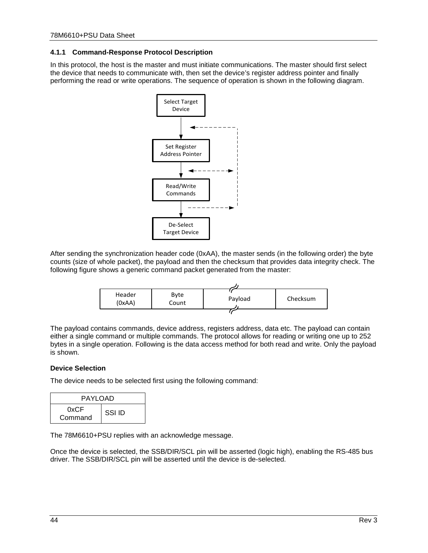#### <span id="page-43-0"></span>**4.1.1 Command-Response Protocol Description**

In this protocol, the host is the master and must initiate communications. The master should first select the device that needs to communicate with, then set the device's register address pointer and finally performing the read or write operations. The sequence of operation is shown in the following diagram.



After sending the synchronization header code (0xAA), the master sends (in the following order) the byte counts (size of whole packet), the payload and then the checksum that provides data integrity check. The following figure shows a generic command packet generated from the master:

| Header<br>(0xAA) | Byte<br>Count | Payload | Checksum |
|------------------|---------------|---------|----------|
|                  |               |         |          |

The payload contains commands, device address, registers address, data etc. The payload can contain either a single command or multiple commands. The protocol allows for reading or writing one up to 252 bytes in a single operation. Following is the data access method for both read and write. Only the payload is shown.

#### **Device Selection**

The device needs to be selected first using the following command:

| PAYLOAD         |        |  |
|-----------------|--------|--|
| 0xCF<br>Command | SSI ID |  |

The 78M6610+PSU replies with an acknowledge message.

Once the device is selected, the SSB/DIR/SCL pin will be asserted (logic high), enabling the RS-485 bus driver. The SSB/DIR/SCL pin will be asserted until the device is de-selected.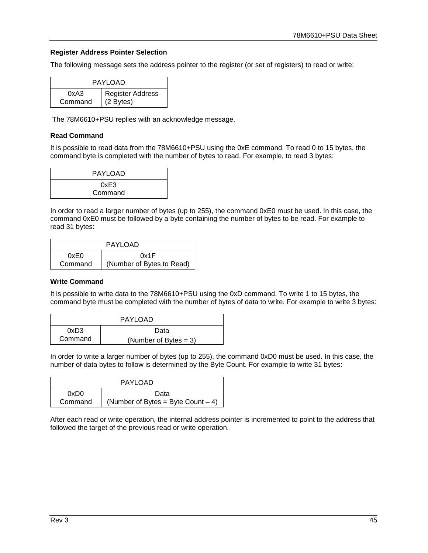#### **Register Address Pointer Selection**

The following message sets the address pointer to the register (or set of registers) to read or write:

| PAYLOAD         |                               |  |
|-----------------|-------------------------------|--|
| 0xA3<br>Command | Register Address<br>(2 Bytes) |  |

The 78M6610+PSU replies with an acknowledge message.

#### **Read Command**

It is possible to read data from the 78M6610+PSU using the 0xE command. To read 0 to 15 bytes, the command byte is completed with the number of bytes to read. For example, to read 3 bytes:

| <b>PAYLOAD</b>  |  |
|-----------------|--|
| 0xE3<br>Command |  |

In order to read a larger number of bytes (up to 255), the command 0xE0 must be used. In this case, the command 0xE0 must be followed by a byte containing the number of bytes to be read. For example to read 31 bytes:

| <b>PAYLOAD</b> |                           |  |
|----------------|---------------------------|--|
| 0xE0<br>0x1F   |                           |  |
| Command        | (Number of Bytes to Read) |  |

#### **Write Command**

It is possible to write data to the 78M6610+PSU using the 0xD command. To write 1 to 15 bytes, the command byte must be completed with the number of bytes of data to write. For example to write 3 bytes:

| <b>PAYLOAD</b>                      |      |  |
|-------------------------------------|------|--|
| 0xD3                                | Data |  |
| Command<br>(Number of Bytes $= 3$ ) |      |  |

In order to write a larger number of bytes (up to 255), the command 0xD0 must be used. In this case, the number of data bytes to follow is determined by the Byte Count. For example to write 31 bytes:

| PAYLOAD      |                                      |  |  |
|--------------|--------------------------------------|--|--|
| 0xD0<br>Data |                                      |  |  |
| Command      | (Number of Bytes = Byte Count $-4$ ) |  |  |

After each read or write operation, the internal address pointer is incremented to point to the address that followed the target of the previous read or write operation.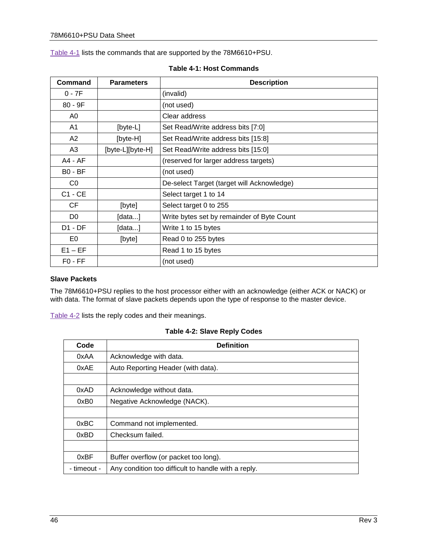[Table 4-1](#page-45-0) lists the commands that are supported by the 78M6610+PSU.

<span id="page-45-0"></span>

| Command        | <b>Parameters</b> | <b>Description</b>                         |
|----------------|-------------------|--------------------------------------------|
| $0 - 7F$       |                   | (invalid)                                  |
| $80 - 9F$      |                   | (not used)                                 |
| A0             |                   | Clear address                              |
| A1             | [byte-L]          | Set Read/Write address bits [7:0]          |
| A2             | [byte-H]          | Set Read/Write address bits [15:8]         |
| A <sub>3</sub> | [byte-L][byte-H]  | Set Read/Write address bits [15:0]         |
| A4 - AF        |                   | (reserved for larger address targets)      |
| $BO - BF$      |                   | (not used)                                 |
| CO             |                   | De-select Target (target will Acknowledge) |
| $C1 - CE$      |                   | Select target 1 to 14                      |
| CF             | [byte]            | Select target 0 to 255                     |
| D <sub>0</sub> | [data]            | Write bytes set by remainder of Byte Count |
| $D1 - DF$      | [data]            | Write 1 to 15 bytes                        |
| E0             | [byte]            | Read 0 to 255 bytes                        |
| $E1 - EF$      |                   | Read 1 to 15 bytes                         |
| $FO$ - $FF$    |                   | (not used)                                 |

#### **Table 4-1: Host Commands**

#### **Slave Packets**

The 78M6610+PSU replies to the host processor either with an acknowledge (either ACK or NACK) or with data. The format of slave packets depends upon the type of response to the master device.

<span id="page-45-1"></span>[Table 4-2](#page-45-1) lists the reply codes and their meanings.

|  |  |  |  | <b>Table 4-2: Slave Reply Codes</b> |
|--|--|--|--|-------------------------------------|
|--|--|--|--|-------------------------------------|

| Code        | <b>Definition</b>                                   |
|-------------|-----------------------------------------------------|
| 0xAA        | Acknowledge with data.                              |
| 0xAE        | Auto Reporting Header (with data).                  |
|             |                                                     |
| 0xAD        | Acknowledge without data.                           |
| 0xB0        | Negative Acknowledge (NACK).                        |
|             |                                                     |
| 0xBC        | Command not implemented.                            |
| 0xBD        | Checksum failed.                                    |
|             |                                                     |
| 0xBF        | Buffer overflow (or packet too long).               |
| - timeout - | Any condition too difficult to handle with a reply. |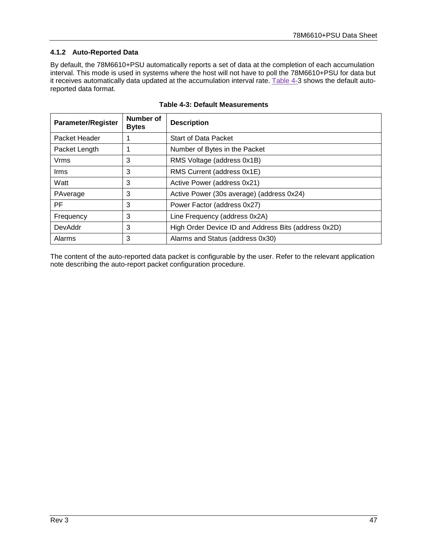### <span id="page-46-0"></span>**4.1.2 Auto-Reported Data**

By default, the 78M6610+PSU automatically reports a set of data at the completion of each accumulation interval. This mode is used in systems where the host will not have to poll the 78M6610+PSU for data but it receives automatically data updated at the accumulation interval rate. [Table 4-3](#page-46-1) shows the default autoreported data format.

<span id="page-46-1"></span>

| <b>Parameter/Register</b> | Number of<br><b>Bytes</b> | <b>Description</b>                                   |
|---------------------------|---------------------------|------------------------------------------------------|
| Packet Header             |                           | <b>Start of Data Packet</b>                          |
| Packet Length             |                           | Number of Bytes in the Packet                        |
| Vrms                      | 3                         | RMS Voltage (address 0x1B)                           |
| <b>Irms</b>               | 3                         | RMS Current (address 0x1E)                           |
| Watt                      | 3                         | Active Power (address 0x21)                          |
| PAverage                  | 3                         | Active Power (30s average) (address 0x24)            |
| PF                        | 3                         | Power Factor (address 0x27)                          |
| Frequency                 | 3                         | Line Frequency (address 0x2A)                        |
| DevAddr                   | 3                         | High Order Device ID and Address Bits (address 0x2D) |
| Alarms                    | 3                         | Alarms and Status (address 0x30)                     |

|  |  | <b>Table 4-3: Default Measurements</b> |
|--|--|----------------------------------------|
|--|--|----------------------------------------|

The content of the auto-reported data packet is configurable by the user. Refer to the relevant application note describing the auto-report packet configuration procedure.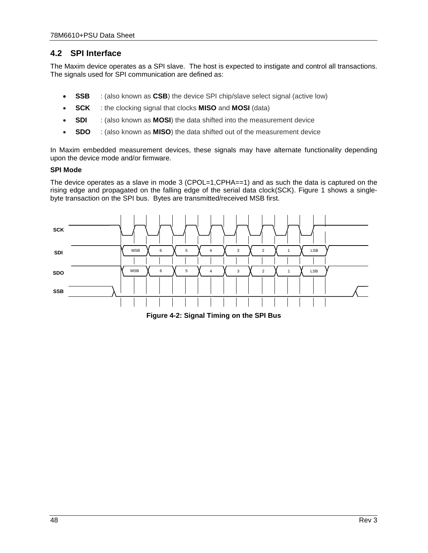# <span id="page-47-0"></span>**4.2 SPI Interface**

The Maxim device operates as a SPI slave. The host is expected to instigate and control all transactions. The signals used for SPI communication are defined as:

- **SSB** : (also known as **CSB**) the device SPI chip/slave select signal (active low)
- **SCK** : the clocking signal that clocks **MISO** and **MOSI** (data)
- **SDI** : (also known as **MOSI**) the data shifted into the measurement device
- **SDO** : (also known as **MISO**) the data shifted out of the measurement device

In Maxim embedded measurement devices, these signals may have alternate functionality depending upon the device mode and/or firmware.

#### **SPI Mode**

The device operates as a slave in mode 3 (CPOL=1,CPHA==1) and as such the data is captured on the rising edge and propagated on the falling edge of the serial data clock(SCK). Figure 1 shows a singlebyte transaction on the SPI bus. Bytes are transmitted/received MSB first.



<span id="page-47-1"></span>**Figure 4-2: Signal Timing on the SPI Bus**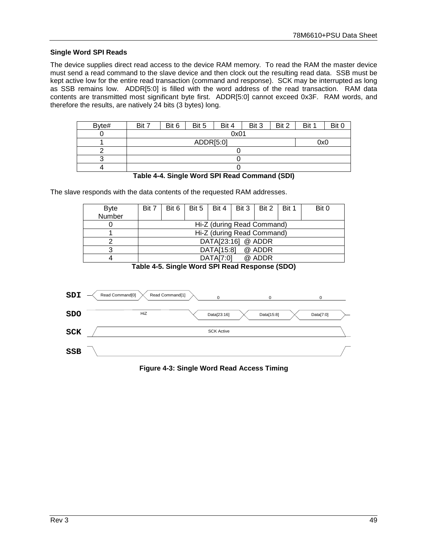#### **Single Word SPI Reads**

The device supplies direct read access to the device RAM memory. To read the RAM the master device must send a read command to the slave device and then clock out the resulting read data. SSB must be kept active low for the entire read transaction (command and response). SCK may be interrupted as long as SSB remains low. ADDR[5:0] is filled with the word address of the read transaction. RAM data contents are transmitted most significant byte first. ADDR[5:0] cannot exceed 0x3F. RAM words, and therefore the results, are natively 24 bits (3 bytes) long.

| Byte# | Bit 7 | Bit 6     | Bit 5 | Bit 4 | Bit 3 | Bit 2 | Bit 1 | Bit 0 |  |
|-------|-------|-----------|-------|-------|-------|-------|-------|-------|--|
|       |       | 0x01      |       |       |       |       |       |       |  |
|       |       | ADDR[5:0] |       |       |       |       |       |       |  |
|       |       |           |       |       |       |       |       |       |  |
|       |       |           |       |       |       |       |       |       |  |
|       |       |           |       |       |       |       |       |       |  |



<span id="page-48-1"></span>The slave responds with the data contents of the requested RAM addresses.

| <b>Byte</b> | Bit 7 | Bit $6 \mid$               |  | Bit 5   Bit 4   Bit 3   Bit 2 |  |        | Bit 1 | Bit 0 |
|-------------|-------|----------------------------|--|-------------------------------|--|--------|-------|-------|
| Number      |       |                            |  |                               |  |        |       |       |
|             |       |                            |  | Hi-Z (during Read Command)    |  |        |       |       |
|             |       | Hi-Z (during Read Command) |  |                               |  |        |       |       |
|             |       | DATA[23:16] @ ADDR         |  |                               |  |        |       |       |
|             |       |                            |  | DATA[15:8]                    |  | @ ADDR |       |       |
|             |       |                            |  | DATA[7:0]                     |  | @ ADDR |       |       |

**Table 4-5. Single Word SPI Read Response (SDO)**

<span id="page-48-2"></span><span id="page-48-0"></span>

**Figure 4-3: Single Word Read Access Timing**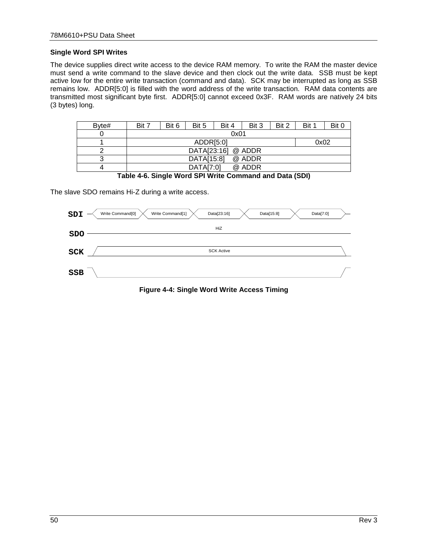#### **Single Word SPI Writes**

The device supplies direct write access to the device RAM memory. To write the RAM the master device must send a write command to the slave device and then clock out the write data. SSB must be kept active low for the entire write transaction (command and data). SCK may be interrupted as long as SSB remains low. ADDR[5:0] is filled with the word address of the write transaction. RAM data contents are transmitted most significant byte first. ADDR[5:0] cannot exceed 0x3F. RAM words are natively 24 bits (3 bytes) long.

| Byte# | Bit 7 | Bit 6 | Bit 5       | Bit 4 | Bit 3  | Bit 2 | Bit 1 | Bit 0 |
|-------|-------|-------|-------------|-------|--------|-------|-------|-------|
|       |       |       |             | 0x01  |        |       |       |       |
|       |       |       | ADDRI5:01   |       |        |       | 0x02  |       |
|       |       |       | DATA[23:16] |       | @ ADDR |       |       |       |
| ົ     |       |       | DATA[15:8]  |       | @ ADDR |       |       |       |
|       |       |       | DATA[7:0]   |       | @ ADDR |       |       |       |

**Table 4-6. Single Word SPI Write Command and Data (SDI)**

<span id="page-49-1"></span>The slave SDO remains Hi-Z during a write access.

<span id="page-49-0"></span>

**Figure 4-4: Single Word Write Access Timing**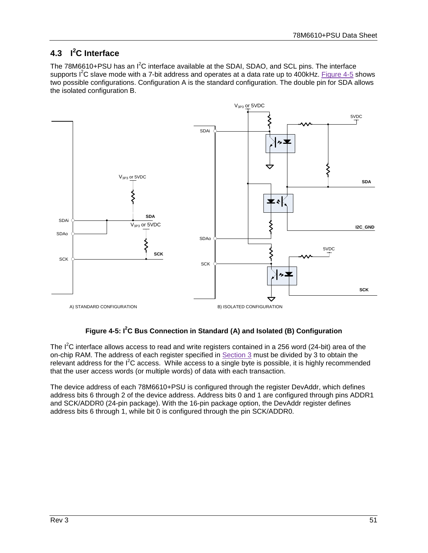# <span id="page-50-0"></span>**4.3 I 2 C Interface**

The 78M6610+PSU has an  $I^2C$  interface available at the SDAI, SDAO, and SCL pins. The interface supports I<sup>2</sup>C slave mode with a 7-bit address and operates at a data rate up to 400kHz. [Figure 4-5](#page-50-1) shows two possible configurations. Configuration A is the standard configuration. The double pin for SDA allows the isolated configuration B.



### **Figure 4-5: I 2 C Bus Connection in Standard (A) and Isolated (B) Configuration**

<span id="page-50-1"></span>The  $I^2C$  interface allows access to read and write registers contained in a 256 word (24-bit) area of the on-chip RAM. The address of each register specified in Section [3](#page-21-0) must be divided by 3 to obtain the relevant address for the  $I^2C$  access. While access to a single byte is possible, it is highly recommended that the user access words (or multiple words) of data with each transaction.

The device address of each 78M6610+PSU is configured through the register DevAddr, which defines address bits 6 through 2 of the device address. Address bits 0 and 1 are configured through pins ADDR1 and SCK/ADDR0 (24-pin package). With the 16-pin package option, the DevAddr register defines address bits 6 through 1, while bit 0 is configured through the pin SCK/ADDR0.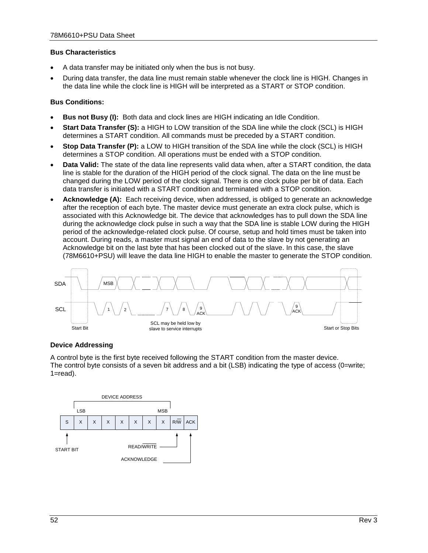#### **Bus Characteristics**

- A data transfer may be initiated only when the bus is not busy.
- During data transfer, the data line must remain stable whenever the clock line is HIGH. Changes in the data line while the clock line is HIGH will be interpreted as a START or STOP condition.

#### **Bus Conditions:**

- **Bus not Busy (I):** Both data and clock lines are HIGH indicating an Idle Condition.
- **Start Data Transfer (S):** a HIGH to LOW transition of the SDA line while the clock (SCL) is HIGH determines a START condition. All commands must be preceded by a START condition.
- **Stop Data Transfer (P):** a LOW to HIGH transition of the SDA line while the clock (SCL) is HIGH determines a STOP condition. All operations must be ended with a STOP condition.
- **Data Valid:** The state of the data line represents valid data when, after a START condition, the data line is stable for the duration of the HIGH period of the clock signal. The data on the line must be changed during the LOW period of the clock signal. There is one clock pulse per bit of data. Each data transfer is initiated with a START condition and terminated with a STOP condition.
- **Acknowledge (A):** Each receiving device, when addressed, is obliged to generate an acknowledge after the reception of each byte. The master device must generate an extra clock pulse, which is associated with this Acknowledge bit. The device that acknowledges has to pull down the SDA line during the acknowledge clock pulse in such a way that the SDA line is stable LOW during the HIGH period of the acknowledge-related clock pulse. Of course, setup and hold times must be taken into account. During reads, a master must signal an end of data to the slave by not generating an Acknowledge bit on the last byte that has been clocked out of the slave. In this case, the slave (78M6610+PSU) will leave the data line HIGH to enable the master to generate the STOP condition.



#### **Device Addressing**

A control byte is the first byte received following the START condition from the master device. The control byte consists of a seven bit address and a bit (LSB) indicating the type of access (0=write; 1=read).

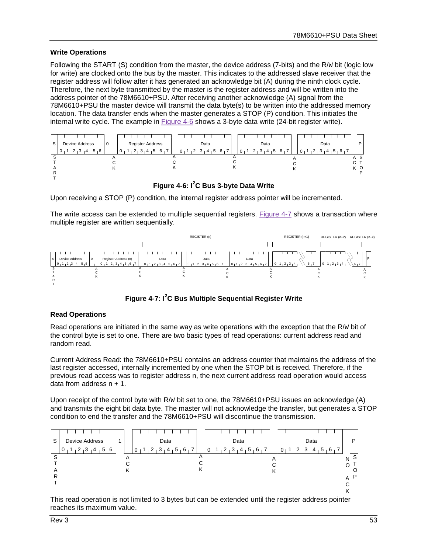#### **Write Operations**

Following the START (S) condition from the master, the device address (7-bits) and the R/w bit (logic low for write) are clocked onto the bus by the master. This indicates to the addressed slave receiver that the register address will follow after it has generated an acknowledge bit (A) during the ninth clock cycle. Therefore, the next byte transmitted by the master is the register address and will be written into the address pointer of the 78M6610+PSU. After receiving another acknowledge (A) signal from the 78M6610+PSU the master device will transmit the data byte(s) to be written into the addressed memory location. The data transfer ends when the master generates a STOP (P) condition. This initiates the internal write cycle. The example in [Figure 4-6](#page-52-0) shows a 3-byte data write (24-bit register write).



**Figure 4-6: I<sup>2</sup> C Bus 3-byte Data Write**

<span id="page-52-0"></span>Upon receiving a STOP (P) condition, the internal register address pointer will be incremented.

The write access can be extended to multiple sequential registers. [Figure 4-7](#page-52-1) shows a transaction where multiple register are written sequentially.



**Figure 4-7: I<sup>2</sup> C Bus Multiple Sequential Register Write**

#### <span id="page-52-1"></span>**Read Operations**

Read operations are initiated in the same way as write operations with the exception that the R/W bit of the control byte is set to one. There are two basic types of read operations: current address read and random read.

Current Address Read: the 78M6610+PSU contains an address counter that maintains the address of the last register accessed, internally incremented by one when the STOP bit is received. Therefore, if the previous read access was to register address n, the next current address read operation would access data from address  $n + 1$ .

Upon receipt of the control byte with R/w bit set to one, the 78M6610+PSU issues an acknowledge (A) and transmits the eight bit data byte. The master will not acknowledge the transfer, but generates a STOP condition to end the transfer and the 78M6610+PSU will discontinue the transmission.



This read operation is not limited to 3 bytes but can be extended until the register address pointer reaches its maximum value.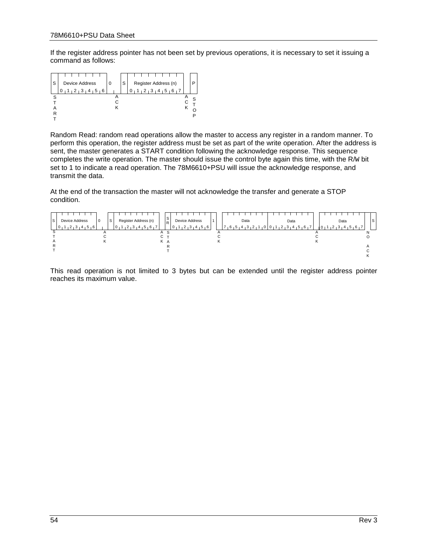If the register address pointer has not been set by previous operations, it is necessary to set it issuing a command as follows:



Random Read: random read operations allow the master to access any register in a random manner. To perform this operation, the register address must be set as part of the write operation. After the address is sent, the master generates a START condition following the acknowledge response. This sequence completes the write operation. The master should issue the control byte again this time, with the R/W bit set to 1 to indicate a read operation. The 78M6610+PSU will issue the acknowledge response, and transmit the data.

At the end of the transaction the master will not acknowledge the transfer and generate a STOP condition.



This read operation is not limited to 3 bytes but can be extended until the register address pointer reaches its maximum value.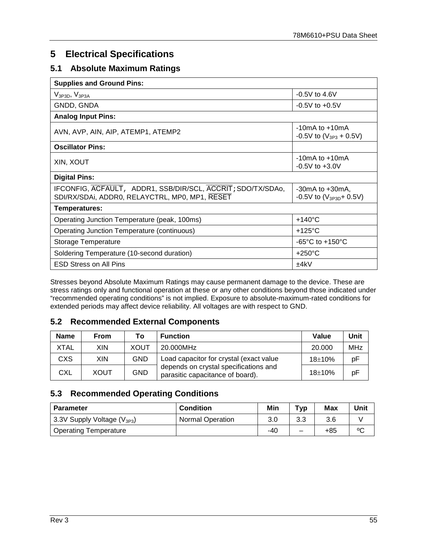# <span id="page-54-0"></span>**5 Electrical Specifications**

# <span id="page-54-1"></span>**5.1 Absolute Maximum Ratings**

| <b>Supplies and Ground Pins:</b>                                                                              |                                                      |
|---------------------------------------------------------------------------------------------------------------|------------------------------------------------------|
| $V_{3P3D}$ , $V_{3P3A}$                                                                                       | $-0.5V$ to 4.6V                                      |
| GNDD, GNDA                                                                                                    | $-0.5V$ to $+0.5V$                                   |
| <b>Analog Input Pins:</b>                                                                                     |                                                      |
| AVN, AVP, AIN, AIP, ATEMP1, ATEMP2                                                                            | $-10mA$ to $+10mA$<br>$-0.5V$ to $(V_{3P3} + 0.5V)$  |
| <b>Oscillator Pins:</b>                                                                                       |                                                      |
| XIN, XOUT                                                                                                     | $-10mA$ to $+10mA$<br>$-0.5V$ to $+3.0V$             |
| <b>Digital Pins:</b>                                                                                          |                                                      |
| IFCONFIG, ACFAULT, ADDR1, SSB/DIR/SCL, ACCRIT; SDO/TX/SDA0,<br>SDI/RX/SDAi, ADDR0, RELAYCTRL, MP0, MP1, RESET | $-30mA$ to $+30mA$ .<br>-0.5V to $(V_{3P3D} + 0.5V)$ |
| Temperatures:                                                                                                 |                                                      |
| Operating Junction Temperature (peak, 100ms)                                                                  | $+140^{\circ}$ C                                     |
| <b>Operating Junction Temperature (continuous)</b>                                                            | $+125^{\circ}$ C                                     |
| Storage Temperature                                                                                           | $-65^{\circ}$ C to $+150^{\circ}$ C                  |
| Soldering Temperature (10-second duration)                                                                    | $+250^{\circ}$ C                                     |
| <b>ESD Stress on All Pins</b>                                                                                 | ±4kV                                                 |

Stresses beyond Absolute Maximum Ratings may cause permanent damage to the device. These are stress ratings only and functional operation at these or any other conditions beyond those indicated under "recommended operating conditions" is not implied. Exposure to absolute-maximum-rated conditions for extended periods may affect device reliability. All voltages are with respect to GND.

## <span id="page-54-2"></span>**5.2 Recommended External Components**

| <b>Name</b> | From        | Т٥          | <b>Function</b>                                                           | Value      | Unit       |
|-------------|-------------|-------------|---------------------------------------------------------------------------|------------|------------|
| XTAL        | <b>XIN</b>  | <b>XOUT</b> | 20.000MHz                                                                 | 20.000     | <b>MHz</b> |
| <b>CXS</b>  | XIN         | <b>GND</b>  | Load capacitor for crystal (exact value                                   | $18 + 10%$ | рF         |
| <b>CXL</b>  | <b>XOUT</b> | <b>GND</b>  | depends on crystal specifications and<br>parasitic capacitance of board). | $18 + 10%$ | рF         |

## <span id="page-54-3"></span>**5.3 Recommended Operating Conditions**

| <b>Parameter</b>                | <b>Condition</b>        | Min | Typ | Max | Unit |
|---------------------------------|-------------------------|-----|-----|-----|------|
| 3.3V Supply Voltage $(V_{3P3})$ | <b>Normal Operation</b> | 3.0 | 3.3 | 3.6 |      |
| <b>Operating Temperature</b>    |                         | -40 | –   | +85 | ٥C   |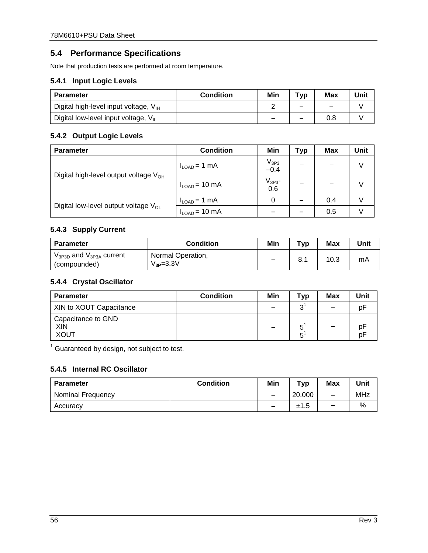# <span id="page-55-0"></span>**5.4 Performance Specifications**

Note that production tests are performed at room temperature.

### <span id="page-55-1"></span>**5.4.1 Input Logic Levels**

| <b>Parameter</b>                                 | <b>Condition</b> | Min    | T <sub>VP</sub>          | Max | Unit |
|--------------------------------------------------|------------------|--------|--------------------------|-----|------|
| Digital high-level input voltage, $V_{\text{H}}$ |                  |        | $\overline{\phantom{a}}$ | -   |      |
| Digital low-level input voltage, $V_{IL}$        |                  | $\sim$ | $\sim$                   |     |      |

### <span id="page-55-2"></span>**5.4.2 Output Logic Levels**

| <b>Parameter</b>                                  | <b>Condition</b>   | Min                 | Typ | Max | Unit |
|---------------------------------------------------|--------------------|---------------------|-----|-----|------|
|                                                   | $I_{LOAD} = 1$ mA  | $V_{3P3}$<br>$-0.4$ |     |     | V    |
| Digital high-level output voltage V <sub>OH</sub> | $I_{LOAD}$ = 10 mA | $V_{3P3}$ -<br>0.6  |     |     | V    |
| Digital low-level output voltage $V_{OL}$         | $I_{LOAD} = 1$ mA  | 0                   |     | 0.4 |      |
|                                                   | $I_{LOAD}$ = 10 mA |                     |     | 0.5 |      |

#### <span id="page-55-3"></span>**5.4.3 Supply Current**

| <b>Parameter</b>                                  | <b>Condition</b>                     | Min                      | тур | Max  | Unit |
|---------------------------------------------------|--------------------------------------|--------------------------|-----|------|------|
| $V_{3P3D}$ and $V_{3P3A}$ current<br>(compounded) | Normal Operation,<br>$V_{3P} = 3.3V$ | $\overline{\phantom{m}}$ | 8.1 | 10.3 | mA   |

### <span id="page-55-4"></span>**5.4.4 Crystal Oscillator**

| <b>Parameter</b>                         | <b>Condition</b> | Min    | Typ    | Max                      | Unit     |
|------------------------------------------|------------------|--------|--------|--------------------------|----------|
| XIN to XOUT Capacitance                  |                  | $\sim$ | 2      | -                        | p۲       |
| Capacitance to GND<br>XIN<br><b>XOUT</b> |                  |        | к<br>к | $\overline{\phantom{0}}$ | p۲<br>рF |

<sup>1</sup> Guaranteed by design, not subject to test.

## <span id="page-55-5"></span>**5.4.5 Internal RC Oscillator**

| <b>Parameter</b>  | <b>Condition</b> | Min                      | тур    | <b>Max</b>               | Unit |
|-------------------|------------------|--------------------------|--------|--------------------------|------|
| Nominal Frequency |                  | $\overline{\phantom{a}}$ | 20.000 | $\overline{\phantom{m}}$ | MHz  |
| Accuracy          |                  | $\overline{\phantom{a}}$ | ±1.5   | $\overline{\phantom{0}}$ | %    |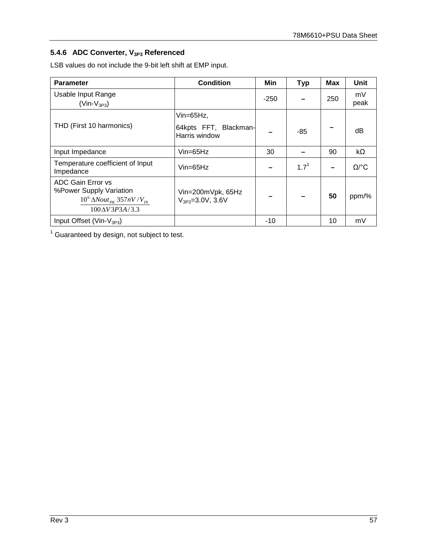# <span id="page-56-0"></span>**5.4.6 ADC Converter, V3P3 Referenced**

LSB values do not include the 9-bit left shift at EMP input.

| <b>Parameter</b>                                                                                                | <b>Condition</b>                                        | Min    | <b>Typ</b>       | <b>Max</b> | <b>Unit</b>             |
|-----------------------------------------------------------------------------------------------------------------|---------------------------------------------------------|--------|------------------|------------|-------------------------|
| Usable Input Range<br>$(Vin-V3P3)$                                                                              |                                                         | $-250$ |                  | 250        | mV<br>peak              |
| THD (First 10 harmonics)                                                                                        | Vin= $65Hz$ ,<br>64kpts FFT, Blackman-<br>Harris window |        | -85              |            | dB                      |
| Input Impedance                                                                                                 | $V$ in=65Hz                                             | 30     |                  | 90         | kΩ                      |
| Temperature coefficient of Input<br>Impedance                                                                   | $V$ in=65Hz                                             |        | 1.7 <sup>1</sup> |            | $\Omega$ <sup>o</sup> C |
| ADC Gain Error vs<br>%Power Supply Variation<br>$10^6 \Delta Nout_{PK} 357nV/V_{IN}$<br>$100 \Delta V$ 3P3A/3.3 | Vin=200mVpk, 65Hz<br>$V_{3P3} = 3.0V$ , 3.6V            |        |                  | 50         | ppm/%                   |
| Input Offset (Vin- $V_{3P3}$ )                                                                                  |                                                         | $-10$  |                  | 10         | mV                      |

<sup>1</sup> Guaranteed by design, not subject to test.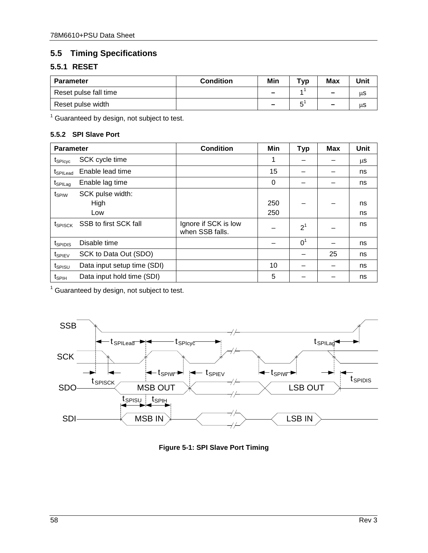# <span id="page-57-0"></span>**5.5 Timing Specifications**

# <span id="page-57-1"></span>**5.5.1 RESET**

| <b>Parameter</b>      | <b>Condition</b> | Min                      | тур | <b>Max</b>               | <b>Unit</b> |
|-----------------------|------------------|--------------------------|-----|--------------------------|-------------|
| Reset pulse fall time |                  | $\overline{\phantom{0}}$ |     | $\overline{\phantom{m}}$ | μS          |
| Reset pulse width     |                  | $\overline{\phantom{0}}$ | -   | $\overline{\phantom{a}}$ | μS          |

<sup>1</sup> Guaranteed by design, not subject to test.

#### <span id="page-57-2"></span>**5.5.2 SPI Slave Port**

| <b>Parameter</b>    |                             | <b>Condition</b>                        | Min | <b>Typ</b>     | <b>Max</b> | Unit |
|---------------------|-----------------------------|-----------------------------------------|-----|----------------|------------|------|
| t <sub>SPIcyc</sub> | SCK cycle time              |                                         | 1   |                |            | μS   |
| <b>I</b> SPILead    | Enable lead time            |                                         | 15  |                |            | ns   |
| t <sub>SPILag</sub> | Enable lag time             |                                         | 0   |                |            | ns   |
| t <sub>SPIW</sub>   | SCK pulse width:            |                                         |     |                |            |      |
|                     | High                        |                                         | 250 |                |            | ns   |
|                     | Low                         |                                         | 250 |                |            | ns   |
| t <sub>SPISCK</sub> | SSB to first SCK fall       | Ignore if SCK is low<br>when SSB falls. |     | 2 <sup>1</sup> |            | ns   |
| t <sub>SPIDIS</sub> | Disable time                |                                         |     | 0 <sup>1</sup> |            | ns   |
| t <sub>SPIEV</sub>  | SCK to Data Out (SDO)       |                                         |     |                | 25         | ns   |
| t <sub>SPISU</sub>  | Data input setup time (SDI) |                                         | 10  |                |            | ns   |
| t <sub>SPIH</sub>   | Data input hold time (SDI)  |                                         | 5   |                |            | ns   |

<sup>1</sup> Guaranteed by design, not subject to test.



<span id="page-57-3"></span>**Figure 5-1: SPI Slave Port Timing**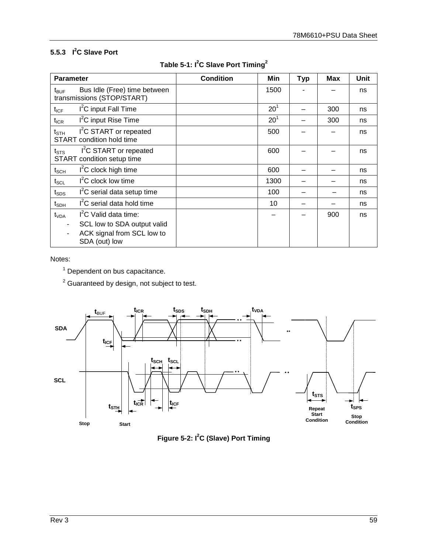### <span id="page-58-0"></span>**5.5.3 I 2 C Slave Port**

<span id="page-58-2"></span>

| <b>Parameter</b>                                                                                 |                                                                                                                 | <b>Condition</b> | Min             | <b>Typ</b> | <b>Max</b> | Unit |
|--------------------------------------------------------------------------------------------------|-----------------------------------------------------------------------------------------------------------------|------------------|-----------------|------------|------------|------|
| $t_{\mathsf{BUF}}$                                                                               | Bus Idle (Free) time between<br>transmissions (STOP/START)                                                      |                  | 1500            |            |            | ns   |
| $t_{ICF}$                                                                                        | I <sup>2</sup> C input Fall Time                                                                                |                  | 20 <sup>1</sup> |            | 300        | ns   |
| $t_{ICR}$                                                                                        | I <sup>2</sup> C input Rise Time                                                                                |                  | $20^1$          |            | 300        | ns   |
| $\mathsf{t}_{\texttt{STH}}$                                                                      | I <sup>2</sup> C START or repeated<br><b>START</b> condition hold time                                          |                  | 500             |            |            | ns   |
| I <sup>2</sup> C START or repeated<br>$t_{\scriptstyle\text{STS}}$<br>START condition setup time |                                                                                                                 |                  | 600             |            |            | ns   |
| $t_{\scriptstyle\text{SCH}}$                                                                     | $I2C$ clock high time                                                                                           |                  | 600             |            |            | ns   |
| $\mathsf{t}_{\mathsf{SCL}}$                                                                      | $I2C$ clock low time                                                                                            |                  | 1300            |            |            | ns   |
| $\boldsymbol{\mathfrak{t}}_{\text{SDS}}$                                                         | I <sup>2</sup> C serial data setup time                                                                         |                  | 100             |            |            | ns   |
| t <sub>spн</sub>                                                                                 | I <sup>2</sup> C serial data hold time                                                                          |                  | 10              |            |            | ns   |
| t <sub>VDA</sub>                                                                                 | I <sup>2</sup> C Valid data time:<br>SCL low to SDA output valid<br>ACK signal from SCL low to<br>SDA (out) low |                  |                 |            | 900        | ns   |

**Table 5-1: I2 C Slave Port Timing<sup>2</sup>**

#### Notes:

 $<sup>1</sup>$  Dependent on bus capacitance.</sup>

<sup>2</sup> Guaranteed by design, not subject to test.



<span id="page-58-1"></span>**Figure 5-2: I<sup>2</sup> C (Slave) Port Timing**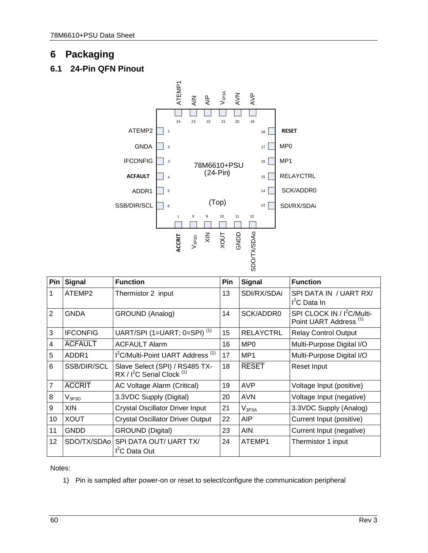# <span id="page-59-0"></span>**6 Packaging**

# <span id="page-59-1"></span>**6.1 24-Pin QFN Pinout**



| Pin            | <b>Signal</b>   | <b>Function</b>                                                                     | Pin | <b>Signal</b>    | <b>Function</b>                                                             |
|----------------|-----------------|-------------------------------------------------------------------------------------|-----|------------------|-----------------------------------------------------------------------------|
|                | ATEMP2          | Thermistor 2 input                                                                  | 13  | SDI/RX/SDAi      | SPI DATA IN / UART RX/<br>$I2C$ Data In                                     |
| $\overline{2}$ | <b>GNDA</b>     | GROUND (Analog)                                                                     | 14  | SCK/ADDR0        | SPI CLOCK IN / I <sup>2</sup> C/Multi-<br>Point UART Address <sup>(1)</sup> |
| 3              | <b>IFCONFIG</b> | UART/SPI (1=UART; 0=SPI) <sup>(1)</sup>                                             | 15  | <b>RELAYCTRL</b> | <b>Relay Control Output</b>                                                 |
| 4              | <b>ACFAULT</b>  | <b>ACFAULT Alarm</b>                                                                | 16  | MP <sub>0</sub>  | Multi-Purpose Digital I/O                                                   |
| 5              | ADDR1           | I <sup>2</sup> C/Multi-Point UART Address <sup>(1)</sup>                            | 17  | MP <sub>1</sub>  | Multi-Purpose Digital I/O                                                   |
| 6              | SSB/DIR/SCL     | Slave Select (SPI) / RS485 TX-<br>RX / I <sup>2</sup> C Serial Clock <sup>(1)</sup> | 18  | <b>RESET</b>     | Reset Input                                                                 |
| 7              | <b>ACCRIT</b>   | AC Voltage Alarm (Critical)                                                         | 19  | AVP              | Voltage Input (positive)                                                    |
| 8              | $\rm V_{3P3D}$  | 3.3VDC Supply (Digital)                                                             | 20  | <b>AVN</b>       | Voltage Input (negative)                                                    |
| 9              | <b>XIN</b>      | <b>Crystal Oscillator Driver Input</b>                                              | 21  | $V_{3P3A}$       | 3.3VDC Supply (Analog)                                                      |
| 10             | <b>XOUT</b>     | <b>Crystal Oscillator Driver Output</b>                                             | 22  | AIP              | Current Input (positive)                                                    |
| 11             | <b>GNDD</b>     | <b>GROUND (Digital)</b>                                                             | 23  | <b>AIN</b>       | Current Input (negative)                                                    |
| 12             | SDO/TX/SDAo     | SPI DATA OUT/ UART TX/<br>I <sup>2</sup> C Data Out                                 | 24  | ATEMP1           | Thermistor 1 input                                                          |

Notes:

1) Pin is sampled after power-on or reset to select/configure the communication peripheral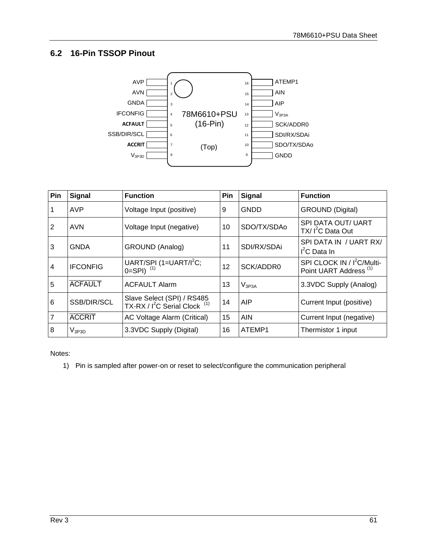# <span id="page-60-0"></span>**6.2 16-Pin TSSOP Pinout**



| Pin            | <b>Signal</b>   | <b>Function</b>                                                                    | Pin | <b>Signal</b> | <b>Function</b>                                                             |
|----------------|-----------------|------------------------------------------------------------------------------------|-----|---------------|-----------------------------------------------------------------------------|
|                | <b>AVP</b>      | Voltage Input (positive)                                                           | 9   | GNDD          | <b>GROUND (Digital)</b>                                                     |
| $\overline{2}$ | <b>AVN</b>      | Voltage Input (negative)                                                           | 10  | SDO/TX/SDAo   | SPI DATA OUT/ UART<br>$TX/I2C$ Data Out                                     |
| 3              | GNDA            | <b>GROUND (Analog)</b>                                                             | 11  | SDI/RX/SDAi   | SPI DATA IN / UART RX/<br>$I2C$ Data In                                     |
| 4              | <b>IFCONFIG</b> | UART/SPI (1=UART/I <sup>2</sup> C;<br>$0=SPI$ ) <sup>(1)</sup>                     | 12  | SCK/ADDR0     | SPI CLOCK IN / I <sup>2</sup> C/Multi-<br>Point UART Address <sup>(1)</sup> |
| 5              | <b>ACFAULT</b>  | <b>ACFAULT Alarm</b>                                                               | 13  | $V_{3P3A}$    | 3.3VDC Supply (Analog)                                                      |
| 6              | SSB/DIR/SCL     | Slave Select (SPI) / RS485<br>TX-RX / I <sup>2</sup> C Serial Clock <sup>(1)</sup> | 14  | AIP           | Current Input (positive)                                                    |
| $\overline{7}$ | <b>ACCRIT</b>   | <b>AC Voltage Alarm (Critical)</b>                                                 | 15  | AIN           | Current Input (negative)                                                    |
| 8              | $V_{3P3D}$      | 3.3VDC Supply (Digital)                                                            | 16  | ATEMP1        | Thermistor 1 input                                                          |

Notes:

1) Pin is sampled after power-on or reset to select/configure the communication peripheral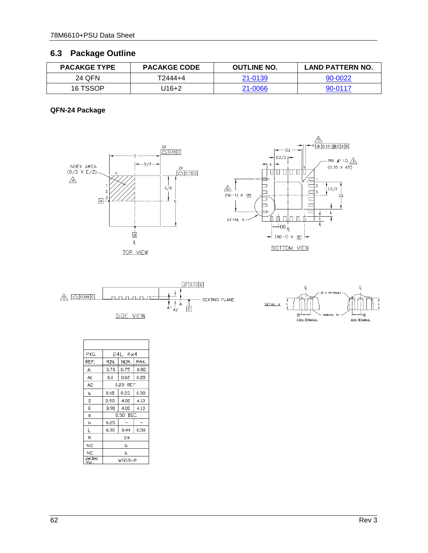# <span id="page-61-0"></span>**6.3 Package Outline**

| <b>PACAKGE TYPE</b> | <b>PACAKGE CODE</b> | <b>OUTLINE NO.</b> | <b>LAND PATTERN NO.</b> |
|---------------------|---------------------|--------------------|-------------------------|
| 24 QFN              | T2444+4             | 21-0139            | 90-0022                 |
| 16 TSSOP            | U16+2               | 21-0066            | 90-0117                 |

### **QFN-24 Package**









| PKG          | $24L$ $4\times4$ |      |      |
|--------------|------------------|------|------|
| REF.         | MIN.             | NOM. | MAX. |
| А            | 0.70             | 0.75 | 0.80 |
| A1           | 0.0              | 0.02 | 0.05 |
| A2           | 0.20 REF         |      |      |
| o            | 0.18             | 0.23 | 0.30 |
| D            | 3.90             | 4.00 | 4.10 |
| E            | 3.90             | 4.00 | 4.10 |
| e            | 0.50 BSC.        |      |      |
| k            | 0.25             |      |      |
|              | 0,30             | 0,40 | 0.50 |
| Ν            | 24               |      |      |
| ND           | 6                |      |      |
| <b>NE</b>    | 6                |      |      |
| Jedec<br>Var | WGGD-2           |      |      |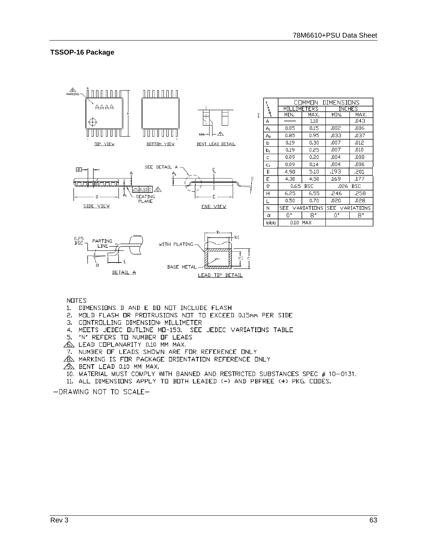**INCHES** 

**MAX** 

 $.043$ 

 $,006$ 

 $,037$ 

 $.012$ 

 $.010$ 

 $.008$ 

 $.006$ 

 $.201$ 

 $.177$ 

 $.258$ 

 $.028$ 

 $8^{\circ}$ 

.026 BSC

SEE VARIATIONS

MIN.

 $.002$ 

.033

 $.007$ 

 $.007$ 

 $.004$ 

 $.004$ 

 $193$ 

.169

246

 $.020$ 

0.

#### **TSSOP-16 Package**



**NOTES** 

- 1. DIMENSIONS D AND E DO NOT INCLUDE FLASH
- 2. MOLD FLASH OR PROTRUSIONS NOT TO EXCEED 0.15mm PER SIDE
- 3. CONTROLLING DIMENSION: MILLIMETER
- 4. MEETS JEDEC OUTLINE MO-153. SEE JEDEC VARIATIONS TABLE
- 5. "N" REFERS TO NUMBER OF LEADS
- A LEAD COPLANARITY 0,10 MM MAX,
- 7. NUMBER OF LEADS SHOWN ARE FOR REFERENCE ONLY
- A MARKING IS FOR PACKAGE ORIENTATION REFERENCE ONLY
- A BENT LEAD 0.10 MM MAX.
- 10. MATERIAL MUST COMPLY WITH BANNED AND RESTRICTED SUBSTANCES SPEC # 10-0131.
- 11. ALL DIMENSIONS APPLY TO BOTH LEADED (-) AND PBFREE (+) PKG. CODES.

-DRAWING NOT TO SCALE-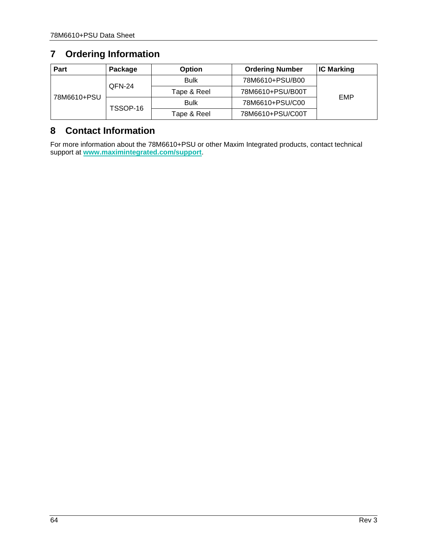# <span id="page-63-0"></span>**7 Ordering Information**

| Part        | Package  | <b>Option</b> | <b>Ordering Number</b> | <b>IC Marking</b> |  |
|-------------|----------|---------------|------------------------|-------------------|--|
| 78M6610+PSU | QFN-24   | <b>Bulk</b>   | 78M6610+PSU/B00        | EMP               |  |
|             |          | Tape & Reel   | 78M6610+PSU/B00T       |                   |  |
|             | TSSOP-16 | <b>Bulk</b>   | 78M6610+PSU/C00        |                   |  |
|             |          | Tape & Reel   | 78M6610+PSU/C00T       |                   |  |

# <span id="page-63-1"></span>**8 Contact Information**

For more information about the 78M6610+PSU or other Maxim Integrated products, contact technical support at **[www.maximintegrated.com/support](http://www.maximintegrated.com/support)**.